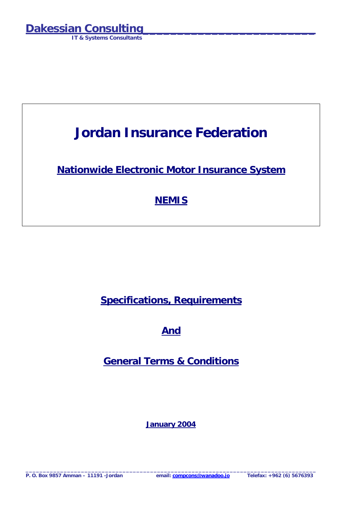**IT & Systems Consultants** 

## **Jordan Insurance Federation**

**Nationwide Electronic Motor Insurance System**

## **NEMIS**

**Specifications, Requirements** 

**And** 

**General Terms & Conditions**

**January 2004**

**\_\_\_\_\_\_\_\_\_\_\_\_\_\_\_\_\_\_\_\_\_\_\_\_\_\_\_\_\_\_\_\_\_\_\_\_\_\_\_\_\_\_\_\_\_\_\_\_\_\_\_\_\_\_\_\_\_\_\_\_\_\_\_\_\_\_\_\_\_\_\_\_\_\_\_\_\_\_\_\_\_\_\_\_** 

**P. O. Box 9857 Amman – 11191 -Jordan email: compcons@wanadoo.jo Telefax: +962 (6) 5676393**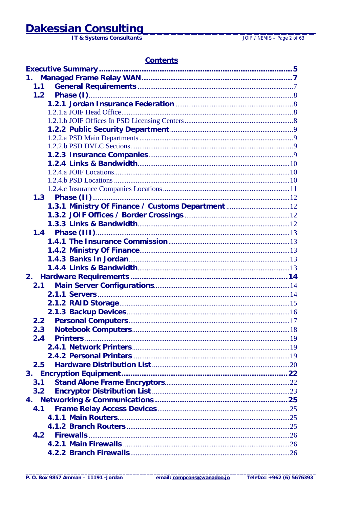## **Dakessian Consulting**

IT & Systems Consultants

JOIF / NEMIS - Page 2 of 63

### **Contents**

| 1.                                                |  |
|---------------------------------------------------|--|
| 1.1                                               |  |
| 1.2                                               |  |
|                                                   |  |
|                                                   |  |
|                                                   |  |
|                                                   |  |
|                                                   |  |
|                                                   |  |
|                                                   |  |
|                                                   |  |
|                                                   |  |
|                                                   |  |
|                                                   |  |
|                                                   |  |
| 1.3.1 Ministry Of Finance / Customs Department 12 |  |
|                                                   |  |
|                                                   |  |
|                                                   |  |
|                                                   |  |
|                                                   |  |
|                                                   |  |
|                                                   |  |
| 2.                                                |  |
| 2.1                                               |  |
|                                                   |  |
|                                                   |  |
|                                                   |  |
| 2.2                                               |  |
| 2.3                                               |  |
| 2.4                                               |  |
|                                                   |  |
|                                                   |  |
| 2.5                                               |  |
| 3.                                                |  |
| 3.1                                               |  |
| 3.2                                               |  |
|                                                   |  |
| 4.1                                               |  |
|                                                   |  |
|                                                   |  |
| 4.2                                               |  |
|                                                   |  |
|                                                   |  |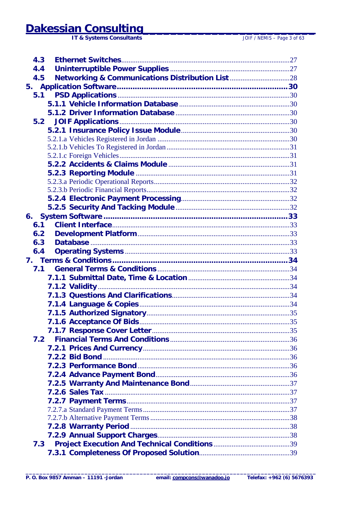# **Dakessian Consulting**

| 4.3 |  |
|-----|--|
| 4.4 |  |
| 4.5 |  |
|     |  |
| 5.1 |  |
|     |  |
|     |  |
|     |  |
|     |  |
|     |  |
|     |  |
|     |  |
|     |  |
|     |  |
|     |  |
|     |  |
|     |  |
|     |  |
|     |  |
| 6.1 |  |
| 6.2 |  |
| 6.3 |  |
| 6.4 |  |
|     |  |
| 7.1 |  |
|     |  |
|     |  |
|     |  |
|     |  |
|     |  |
|     |  |
|     |  |
| 7.2 |  |
|     |  |
|     |  |
|     |  |
|     |  |
|     |  |
|     |  |
|     |  |
|     |  |
|     |  |
|     |  |
|     |  |
| 7.3 |  |
|     |  |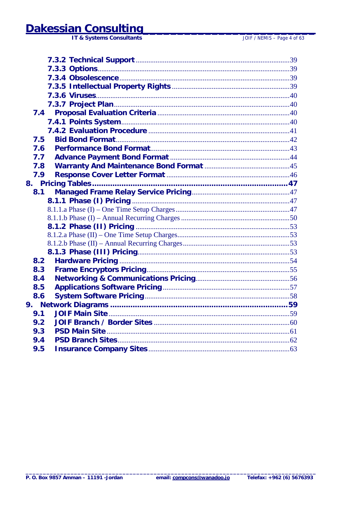| 7.5 |  |
|-----|--|
| 7.6 |  |
| 7.7 |  |
| 7.8 |  |
| 7.9 |  |
|     |  |
| 8.1 |  |
|     |  |
|     |  |
|     |  |
|     |  |
|     |  |
|     |  |
|     |  |
| 8.2 |  |
| 8.3 |  |
| 8.4 |  |
| 8.5 |  |
| 8.6 |  |
|     |  |
| 9.1 |  |
| 9.2 |  |
| 9.3 |  |
| 9.4 |  |
| 9.5 |  |
|     |  |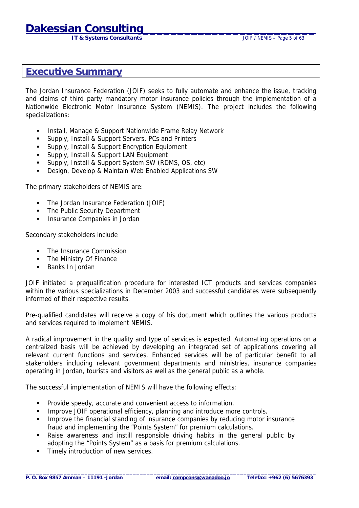**IT & Systems Consultants IT & Systems Consultants JOIF / NEMIS – Page 5 of 63** 

### <span id="page-4-0"></span>**Executive Summary**

The Jordan Insurance Federation (JOIF) seeks to fully automate and enhance the issue, tracking and claims of third party mandatory motor insurance policies through the implementation of a Nationwide Electronic Motor Insurance System (NEMIS). The project includes the following specializations:

- ! Install, Manage & Support Nationwide Frame Relay Network
- **EXECUTE:** Supply, Install & Support Servers, PCs and Printers
- ! Supply, Install & Support Encryption Equipment
- **EXECUTE:** Supply, Install & Support LAN Equipment
- ! Supply, Install & Support System SW (RDMS, OS, etc)
- ! Design, Develop & Maintain Web Enabled Applications SW

The primary stakeholders of NEMIS are:

- ! The Jordan Insurance Federation (JOIF)
- **The Public Security Department**
- Insurance Companies in Jordan

Secondary stakeholders include

- The Insurance Commission
- **The Ministry Of Finance**
- Banks In Jordan

JOIF initiated a prequalification procedure for interested ICT products and services companies within the various specializations in December 2003 and successful candidates were subsequently informed of their respective results.

Pre-qualified candidates will receive a copy of his document which outlines the various products and services required to implement NEMIS.

A radical improvement in the quality and type of services is expected. Automating operations on a centralized basis will be achieved by developing an integrated set of applications covering all relevant current functions and services. Enhanced services will be of particular benefit to all stakeholders including relevant government departments and ministries, insurance companies operating in Jordan, tourists and visitors as well as the general public as a whole.

The successful implementation of NEMIS will have the following effects:

- ! Provide speedy, accurate and convenient access to information.
- **IMPROVE JOIF operational efficiency, planning and introduce more controls.**
- ! Improve the financial standing of insurance companies by reducing motor insurance fraud and implementing the "Points System" for premium calculations.
- ! Raise awareness and instill responsible driving habits in the general public by adopting the "Points System" as a basis for premium calculations.
- Timely introduction of new services.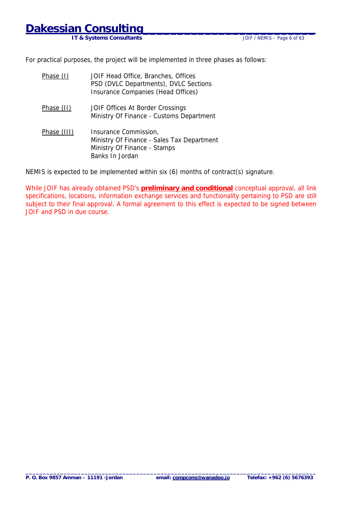**IT & Systems Consultants** 

For practical purposes, the project will be implemented in three phases as follows:

| Phase (I)   | JOIF Head Office, Branches, Offices<br>PSD (DVLC Departments), DVLC Sections<br>Insurance Companies (Head Offices)     |
|-------------|------------------------------------------------------------------------------------------------------------------------|
| Phase (II)  | JOIF Offices At Border Crossings<br>Ministry Of Finance - Customs Department                                           |
| Phase (III) | Insurance Commission,<br>Ministry Of Finance - Sales Tax Department<br>Ministry Of Finance - Stamps<br>Banks In Jordan |

NEMIS is expected to be implemented within six (6) months of contract(s) signature.

While JOIF has already obtained PSD's **preliminary and conditional** conceptual approval, all link specifications, locations, information exchange services and functionality pertaining to PSD are still subject to their final approval. A formal agreement to this effect is expected to be signed between JOIF and PSD in due course.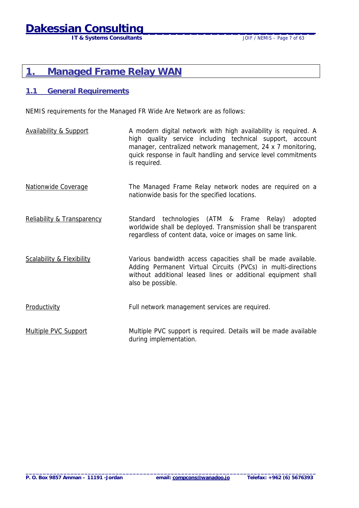**IT & Systems Consultants** *IT & Systems Consultants* 

### <span id="page-6-0"></span>**1. Managed Frame Relay WAN**

#### **1.1 General Requirements**

NEMIS requirements for the Managed FR Wide Are Network are as follows:

- Availability & Support A modern digital network with high availability is required. A high quality service including technical support, account manager, centralized network management, 24 x 7 monitoring, quick response in fault handling and service level commitments is required.
- Nationwide Coverage The Managed Frame Relay network nodes are required on a nationwide basis for the specified locations.
- Reliability & Transparency Standard technologies (ATM & Frame Relay) adopted worldwide shall be deployed. Transmission shall be transparent regardless of content data, voice or images on same link.
- Scalability & Flexibility Various bandwidth access capacities shall be made available. Adding Permanent Virtual Circuits (PVCs) in multi-directions without additional leased lines or additional equipment shall also be possible.
- Productivity Full network management services are required.
- Multiple PVC Support Multiple PVC support is required. Details will be made available during implementation.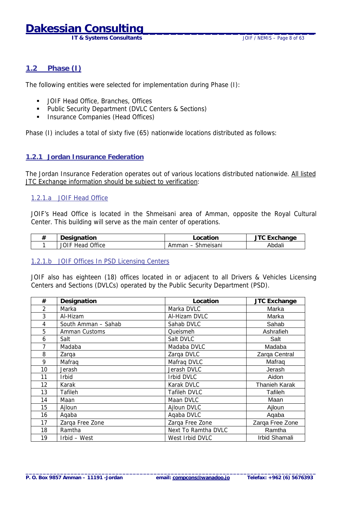**IT & Systems Consultants IT & Systems Consultants JOIF / NEMIS – Page 8 of 63** 

#### <span id="page-7-0"></span>**1.2 Phase (I)**

The following entities were selected for implementation during Phase (I):

- ! JOIF Head Office, Branches, Offices
- ! Public Security Department (DVLC Centers & Sections)
- **.** Insurance Companies (Head Offices)

Phase (I) includes a total of sixty five (65) nationwide locations distributed as follows:

#### **1.2.1 Jordan Insurance Federation**

The Jordan Insurance Federation operates out of various locations distributed nationwide. All listed JTC Exchange information should be subject to verification:

#### 1.2.1.a JOIF Head Office

JOIF's Head Office is located in the Shmeisani area of Amman, opposite the Royal Cultural Center. This building will serve as the main center of operations.

| ╨ | Designation                   | .ocation           | anne^ <sup>- −</sup> ™ |
|---|-------------------------------|--------------------|------------------------|
|   | Office<br><b>JOIF</b><br>Head | Shmeisani<br>Ammar | Abdali                 |

#### 1.2.1.b JOIF Offices In PSD Licensing Centers

JOIF also has eighteen (18) offices located in or adjacent to all Drivers & Vehicles Licensing Centers and Sections (DVLCs) operated by the Public Security Department (PSD).

| #  | Designation         | Location            | <b>JTC Exchange</b>  |
|----|---------------------|---------------------|----------------------|
| 2  | Marka               | Marka DVLC          | Marka                |
| 3  | Al-Hizam            | Al-Hizam DVLC       | Marka                |
| 4  | South Amman - Sahab | Sahab DVLC          | Sahab                |
| 5  | Amman Customs       | Queismeh            | Ashrafieh            |
| 6  | Salt                | Salt DVLC           | Salt                 |
| 7  | Madaba              | Madaba DVLC         | Madaba               |
| 8  | Zarga               | Zarqa DVLC          | Zarqa Central        |
| 9  | Mafrag              | Mafraq DVLC         | Mafraq               |
| 10 | Jerash              | Jerash DVLC         | Jerash               |
| 11 | <b>Irbid</b>        | Irbid DVLC          | Aidon                |
| 12 | Karak               | Karak DVLC          | <b>Thanieh Karak</b> |
| 13 | Tafileh             | Tafileh DVLC        | Tafileh              |
| 14 | Maan                | Maan DVLC           | Maan                 |
| 15 | Ajloun              | Ajloun DVLC         | Ajloun               |
| 16 | Aqaba               | Agaba DVLC          | Aqaba                |
| 17 | Zarga Free Zone     | Zarga Free Zone     | Zarga Free Zone      |
| 18 | Ramtha              | Next To Ramtha DVLC | Ramtha               |
| 19 | Irbid - West        | West Irbid DVLC     | Irbid Shamali        |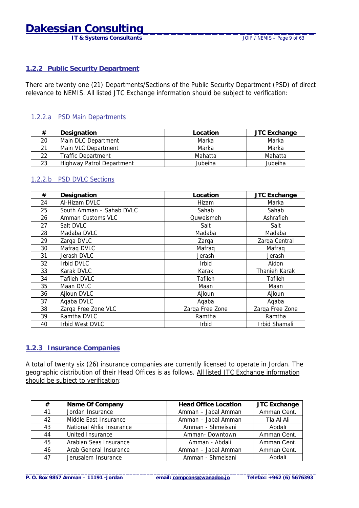## <span id="page-8-0"></span>**Dakessian Consulting\_\_\_\_\_\_\_\_\_\_\_\_\_\_\_\_\_\_\_\_\_\_\_\_\_**

**IT & Systems Consultants JOIF / NEMIS – Page 9 of 63** 

#### **1.2.2 Public Security Department**

There are twenty one (21) Departments/Sections of the Public Security Department (PSD) of direct relevance to NEMIS. All listed JTC Exchange information should be subject to verification:

#### 1.2.2.a PSD Main Departments

| #   | Designation                      | Location | <b>JTC Exchange</b> |
|-----|----------------------------------|----------|---------------------|
| 20  | Main DLC Department              | Marka    | Marka               |
| 21  | Main VLC Department              | Marka    | Marka               |
| 22. | Traffic Department               | Mahatta  | Mahatta             |
| 23  | <b>Highway Patrol Department</b> | Jubeiha  | Jubeiha             |

#### 1.2.2.b PSD DVLC Sections

| #  | Designation              | Location        | <b>JTC Exchange</b> |
|----|--------------------------|-----------------|---------------------|
| 24 | Al-Hizam DVLC            | Hizam           | Marka               |
| 25 | South Amman - Sahab DVLC | Sahab           | Sahab               |
| 26 | Amman Customs VLC        | Quweismeh       | Ashrafieh           |
| 27 | Salt DVLC                | Salt            | Salt                |
| 28 | Madaba DVLC              | Madaba          | Madaba              |
| 29 | Zarga DVLC               | Zarga           | Zarga Central       |
| 30 | Mafrag DVLC              | Mafrag          | Mafrag              |
| 31 | Jerash DVLC              | Jerash          | Jerash              |
| 32 | Irbid DVLC               | <b>Irbid</b>    | Aidon               |
| 33 | Karak DVLC               | Karak           | Thanieh Karak       |
| 34 | Tafileh DVLC             | Tafileh         | Tafileh             |
| 35 | Maan DVLC                | Maan            | Maan                |
| 36 | Ajloun DVLC              | Ajloun          | Ajloun              |
| 37 | Agaba DVLC               | Agaba           | Agaba               |
| 38 | Zarqa Free Zone VLC      | Zarga Free Zone | Zarga Free Zone     |
| 39 | Ramtha DVLC              | Ramtha          | Ramtha              |
| 40 | Irbid West DVLC          | <b>Irbid</b>    | Irbid Shamali       |

#### **1.2.3 Insurance Companies**

A total of twenty six (26) insurance companies are currently licensed to operate in Jordan. The geographic distribution of their Head Offices is as follows. All listed JTC Exchange information should be subject to verification:

| #  | Name Of Company          | <b>Head Office Location</b> | <b>JTC Exchange</b> |
|----|--------------------------|-----------------------------|---------------------|
| 41 | Jordan Insurance         | Amman - Jabal Amman         | Amman Cent.         |
| 42 | Middle East Insurance    | Amman - Jabal Amman         | Tla Al Ali          |
| 43 | National Ahlia Insurance | Amman - Shmeisani           | Abdali              |
| 44 | United Insurance         | Amman-Downtown              | Amman Cent.         |
| 45 | Arabian Seas Insurance   | Amman - Abdali              | Amman Cent.         |
| 46 | Arab General Insurance   | Amman - Jabal Amman         | Amman Cent.         |
| 47 | Jerusalem Insurance      | Amman - Shmeisani<br>Abdali |                     |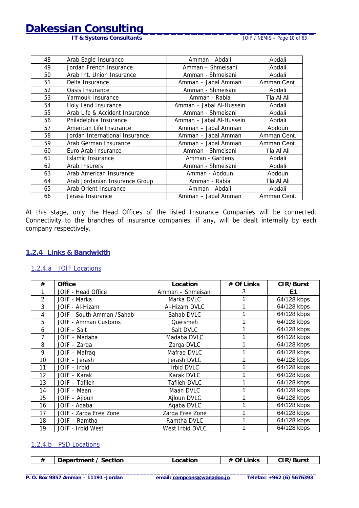<span id="page-9-0"></span>**Dakessian Consulting** 

**IT & Systems Consultants IT & Systems Consultants JOIF / NEMIS – Page 10 of 63** 

| 48                                                 | Arab Eagle Insurance                                  | Amman - Abdali                     | Abdali      |
|----------------------------------------------------|-------------------------------------------------------|------------------------------------|-------------|
| 49                                                 | Jordan French Insurance                               | Amman - Shmeisani                  | Abdali      |
| 50                                                 | Arab Int. Union Insurance                             | Amman - Shmeisani                  | Abdali      |
| 51                                                 | Delta Insurance                                       | Amman - Jabal Amman                | Amman Cent. |
| 52                                                 | Oasis Insurance                                       | Amman - Shmeisani                  | Abdali      |
| 53                                                 | Yarmouk Insurance                                     | Amman - Rabia                      | Tla Al Ali  |
| 54                                                 | Holy Land Insurance                                   | Amman - Jabal Al-Hussein           | Abdali      |
| 55                                                 | Arab Life & Accident Insurance                        | Amman - Shmeisani                  | Abdali      |
| 56                                                 | Philadelphia Insurance                                | Amman - Jabal Al-Hussein           | Abdali      |
| 57                                                 | American Life Insurance                               | Amman - Jabal Amman                |             |
| 58                                                 | Jordan International Insurance<br>Amman – Jabal Amman |                                    | Amman Cent. |
| 59<br>Arab German Insurance<br>Amman – Jabal Amman |                                                       | Amman Cent.                        |             |
| 60                                                 | Amman - Shmeisani<br>Euro Arab Insurance              |                                    | Tla Al Ali  |
| 61                                                 | Islamic Insurance<br>Amman - Gardens                  |                                    | Abdali      |
| 62                                                 | Amman - Shmeisani<br>Arab Insurers                    |                                    | Abdali      |
| 63                                                 | Arab American Insurance                               | Amman - Abdoun                     |             |
| 64                                                 | Arab Jordanian Insurance Group                        | Amman - Rabia                      | Tla Al Ali  |
| 65                                                 | Arab Orient Insurance                                 | Amman - Abdali                     | Abdali      |
| 66                                                 | Jerasa Insurance                                      | Amman Cent.<br>Amman – Jabal Amman |             |

At this stage, only the Head Offices of the listed Insurance Companies will be connected. Connectivity to the branches of insurance companies, if any, will be dealt internally by each company respectively.

#### **1.2.4 Links & Bandwidth**

#### 1.2.4.a JOIF Locations

| #  | Office                    | Location          | # Of Links | CIR/Burst      |
|----|---------------------------|-------------------|------------|----------------|
|    | JOIF - Head Office        | Amman - Shmeisani | 3          | E <sub>1</sub> |
| 2  | JOIF - Marka              | Marka DVLC        |            | 64/128 kbps    |
| 3  | JOIF - Al-Hizam           | Al-Hizam DVLC     |            | 64/128 kbps    |
| 4  | JOIF - South Amman /Sahab | Sahab DVLC        |            | 64/128 kbps    |
| 5  | JOIF - Amman Customs      | Queismeh          |            | 64/128 kbps    |
| 6  | JOIF - Salt               | Salt DVLC         |            | 64/128 kbps    |
| 7  | JOIF - Madaba             | Madaba DVLC       |            | 64/128 kbps    |
| 8  | JOIF - Zarga              | Zarga DVLC        |            | 64/128 kbps    |
| 9  | JOIF - Mafraq             | Mafraq DVLC       |            | 64/128 kbps    |
| 10 | JOIF - Jerash             | Jerash DVLC       |            | 64/128 kbps    |
| 11 | JOIF - Irbid              | Irbid DVLC        |            | 64/128 kbps    |
| 12 | JOIF - Karak              | Karak DVLC        |            | 64/128 kbps    |
| 13 | JOIF - Tafileh            | Tafileh DVLC      |            | 64/128 kbps    |
| 14 | JOIF - Maan               | Maan DVLC         |            | 64/128 kbps    |
| 15 | JOIF - Ajloun             | Ajloun DVLC       |            | 64/128 kbps    |
| 16 | JOIF - Agaba              | Agaba DVLC        |            | 64/128 kbps    |
| 17 | JOIF - Zarqa Free Zone    | Zarga Free Zone   |            | 64/128 kbps    |
| 18 | JOIF - Ramtha             | Ramtha DVLC       |            | 64/128 kbps    |
| 19 | JOIF - Irbid West         | West Irbid DVLC   |            | 64/128 kbps    |

#### 1.2.4.b PSD Locations

|  | Section<br>---<br>Jepar<br>புப<br>_____ | ____<br>____ | ∍ık∙ | Burs. |
|--|-----------------------------------------|--------------|------|-------|
|--|-----------------------------------------|--------------|------|-------|

**\_\_\_\_\_\_\_\_\_\_\_\_\_\_\_\_\_\_\_\_\_\_\_\_\_\_\_\_\_\_\_\_\_\_\_\_\_\_\_\_\_\_\_\_\_\_\_\_\_\_\_\_\_\_\_\_\_\_\_\_\_\_\_\_\_\_\_\_\_\_\_\_\_\_\_\_\_\_\_\_\_\_\_\_**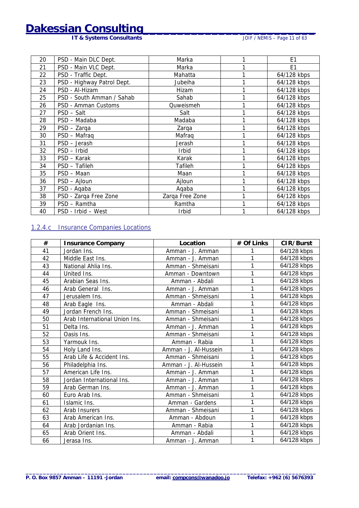<span id="page-10-0"></span>**IT & Systems Consultants CONSULTABLE 10 CONSULTABLE 10 CONSULTABLE 10 CONSULTABLE 10 CONSULTABLE 10 CONSULTABLE 10 CONSULTABLE 10 CONSULTABLE 10 CONSULTABLE 10 CONSULTABLE 10 CONSULTABLE 10 CONSULTABLE 10 CONSULTABLE 10** 

| 20 | PSD - Main DLC Dept.       | Marka           | E <sub>1</sub> |
|----|----------------------------|-----------------|----------------|
| 21 | PSD - Main VLC Dept.       | Marka           | E <sub>1</sub> |
| 22 | PSD - Traffic Dept.        | Mahatta         | 64/128 kbps    |
| 23 | PSD - Highway Patrol Dept. | Jubeiha         | 64/128 kbps    |
| 24 | PSD - Al-Hizam             | Hizam           | 64/128 kbps    |
| 25 | PSD - South Amman / Sahab  | Sahab           | 64/128 kbps    |
| 26 | PSD - Amman Customs        | Quweismeh       | 64/128 kbps    |
| 27 | PSD - Salt                 | Salt            | 64/128 kbps    |
| 28 | PSD - Madaba               | Madaba          | 64/128 kbps    |
| 29 | PSD - Zarga                | Zarqa           | 64/128 kbps    |
| 30 | PSD - Mafraq               | Mafrag          | 64/128 kbps    |
| 31 | PSD - Jerash               | Jerash          | 64/128 kbps    |
| 32 | PSD - Irbid                | <b>Irbid</b>    | 64/128 kbps    |
| 33 | PSD - Karak                | Karak           | 64/128 kbps    |
| 34 | PSD - Tafileh              | Tafileh         | 64/128 kbps    |
| 35 | PSD - Maan                 | Maan            | 64/128 kbps    |
| 36 | PSD - Ajloun               | Ajloun          | 64/128 kbps    |
| 37 | PSD - Agaba                | Aqaba           | 64/128 kbps    |
| 38 | PSD - Zarqa Free Zone      | Zarqa Free Zone | 64/128 kbps    |
| 39 | PSD - Ramtha               | Ramtha          | 64/128 kbps    |
| 40 | PSD - Irbid - West         | <b>Irbid</b>    | 64/128 kbps    |

#### 1.2.4.c Insurance Companies Locations

| #  | <b>Insurance Company</b>      | Location              | # Of Links | CIR/Burst   |
|----|-------------------------------|-----------------------|------------|-------------|
| 41 | Jordan Ins.                   | Amman - J. Amman      |            | 64/128 kbps |
| 42 | Middle East Ins.              | Amman - J. Amman      |            | 64/128 kbps |
| 43 | National Ahlia Ins.           | Amman - Shmeisani     |            | 64/128 kbps |
| 44 | United Ins.                   | Amman - Downtown      |            | 64/128 kbps |
| 45 | Arabian Seas Ins.             | Amman - Abdali        |            | 64/128 kbps |
| 46 | Arab General Ins.             | Amman - J. Amman      |            | 64/128 kbps |
| 47 | Jerusalem Ins.                | Amman - Shmeisani     |            | 64/128 kbps |
| 48 | Arab Eagle Ins.               | Amman - Abdali        | 1          | 64/128 kbps |
| 49 | Jordan French Ins.            | Amman - Shmeisani     |            | 64/128 kbps |
| 50 | Arab International Union Ins. | Amman - Shmeisani     | 1          | 64/128 kbps |
| 51 | Delta Ins.                    | Amman - J. Amman      | 1          | 64/128 kbps |
| 52 | Oasis Ins.                    | Amman - Shmeisani     | 1          | 64/128 kbps |
| 53 | Yarmouk Ins.                  | Amman - Rabia         |            | 64/128 kbps |
| 54 | Holy Land Ins.                | Amman - J. Al-Hussein | 1          | 64/128 kbps |
| 55 | Arab Life & Accident Ins.     | Amman - Shmeisani     | 1          | 64/128 kbps |
| 56 | Philadelphia Ins.             | Amman - J. Al-Hussein | 1          | 64/128 kbps |
| 57 | American Life Ins.            | Amman - J. Amman      |            | 64/128 kbps |
| 58 | Jordan International Ins.     | Amman - J. Amman      | 1          | 64/128 kbps |
| 59 | Arab German Ins.              | Amman - J. Amman      | 1          | 64/128 kbps |
| 60 | Euro Arab Ins.                | Amman - Shmeisani     | 1          | 64/128 kbps |
| 61 | Islamic Ins.                  | Amman - Gardens       | 1          | 64/128 kbps |
| 62 | Arab Insurers                 | Amman - Shmeisani     |            | 64/128 kbps |
| 63 | Arab American Ins.            | Amman - Abdoun        | 1          | 64/128 kbps |
| 64 | Arab Jordanian Ins.           | Amman - Rabia         | 1          | 64/128 kbps |
| 65 | Arab Orient Ins.              | Amman - Abdali        | 1          | 64/128 kbps |
| 66 | Jerasa Ins.                   | Amman - J. Amman      | 1          | 64/128 kbps |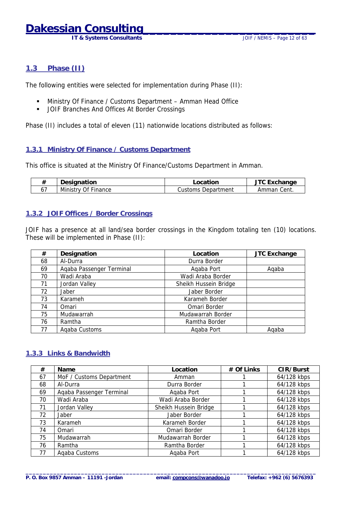**IT & Systems Consultants** JOIF / NEMIS – Page 12 of 63

#### <span id="page-11-0"></span>**1.3 Phase (II)**

The following entities were selected for implementation during Phase (II):

- ! Ministry Of Finance / Customs Department Amman Head Office
- **.** JOIF Branches And Offices At Border Crossings

Phase (II) includes a total of eleven (11) nationwide locations distributed as follows:

#### **1.3.1 Ministry Of Finance / Customs Department**

This office is situated at the Ministry Of Finance/Customs Department in Amman.

| Designation         | ∟ocation           | <b>TC Exchange</b> |
|---------------------|--------------------|--------------------|
| Ministry Of Finance | Customs Department | Amman Cent.        |

#### **1.3.2 JOIF Offices / Border Crossings**

JOIF has a presence at all land/sea border crossings in the Kingdom totaling ten (10) locations. These will be implemented in Phase (II):

| #  | Designation              | Location              | <b>JTC Exchange</b> |
|----|--------------------------|-----------------------|---------------------|
| 68 | Al-Durra                 | Durra Border          |                     |
| 69 | Agaba Passenger Terminal | Agaba Port            | Aqaba               |
| 70 | Wadi Araba               | Wadi Araba Border     |                     |
| 71 | Jordan Valley            | Sheikh Hussein Bridge |                     |
| 72 | Jaber                    | Jaber Border          |                     |
| 73 | Karameh                  | Karameh Border        |                     |
| 74 | Omari                    | Omari Border          |                     |
| 75 | Mudawarrah               | Mudawarrah Border     |                     |
| 76 | Ramtha                   | Ramtha Border         |                     |
| 77 | Agaba Customs            | Agaba Port            | Agaba               |

#### **1.3.3 Links & Bandwidth**

| #  | Name                     | Location              | # Of Links | CIR/Burst   |
|----|--------------------------|-----------------------|------------|-------------|
| 67 | MoF / Customs Department | Amman                 |            | 64/128 kbps |
| 68 | Al-Durra                 | Durra Border          |            | 64/128 kbps |
| 69 | Agaba Passenger Terminal | Agaba Port            |            | 64/128 kbps |
| 70 | Wadi Araba               | Wadi Araba Border     |            | 64/128 kbps |
| 71 | Jordan Valley            | Sheikh Hussein Bridge |            | 64/128 kbps |
| 72 | Jaber                    | Jaber Border          |            | 64/128 kbps |
| 73 | Karameh                  | Karameh Border        |            | 64/128 kbps |
| 74 | Omari                    | Omari Border          |            | 64/128 kbps |
| 75 | Mudawarrah               | Mudawarrah Border     |            | 64/128 kbps |
| 76 | Ramtha                   | Ramtha Border         |            | 64/128 kbps |
| 77 | Agaba Customs            | Agaba Port            |            | 64/128 kbps |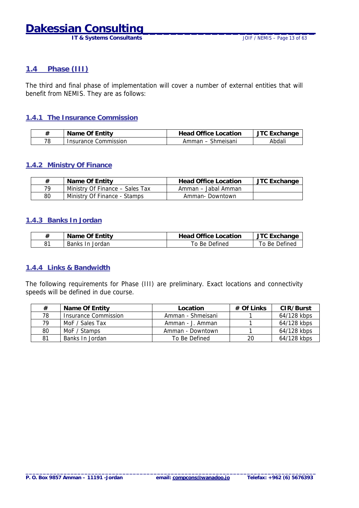**IT & Systems Consultants IT & Systems Consultants JOIF** / NEMIS – Page 13 of 63

#### <span id="page-12-0"></span>**1.4 Phase (III)**

The third and final phase of implementation will cover a number of external entities that will benefit from NEMIS. They are as follows:

#### **1.4.1 The Insurance Commission**

| #  | Name Of Entity       | <b>Head Office Location</b> | <sup>--</sup> Exchange |
|----|----------------------|-----------------------------|------------------------|
| 78 | Insurance Commission | Shmeisani<br>Amman<br>$-$   | Abdali                 |

#### **1.4.2 Ministry Of Finance**

| #  | Name Of Entity                  | <b>Head Office Location</b> | JTC Exchange |
|----|---------------------------------|-----------------------------|--------------|
| 79 | Ministry Of Finance – Sales Tax | Amman – Jabal Amman         |              |
| 80 | Ministry Of Finance - Stamps    | Amman-Downtown              |              |

#### **1.4.3 Banks In Jordan**

| #  | Name Of Entity  | <b>Head Office Location</b> | <b>JTC Exchange</b> |
|----|-----------------|-----------------------------|---------------------|
| 81 | Banks In Jordan | To Be Defined               | To Be Defined       |

#### **1.4.4 Links & Bandwidth**

The following requirements for Phase (III) are preliminary. Exact locations and connectivity speeds will be defined in due course.

| #  | Name Of Entity              | Location          | $#$ Of Links | CIR/Burst   |
|----|-----------------------------|-------------------|--------------|-------------|
| 78 | <b>Insurance Commission</b> | Amman - Shmeisani |              | 64/128 kbps |
| 79 | MoF / Sales Tax             | Amman - J. Amman  |              | 64/128 kbps |
| 80 | MoF / Stamps                | Amman - Downtown  |              | 64/128 kbps |
| 81 | Banks In Jordan             | To Be Defined     | 20           | 64/128 kbps |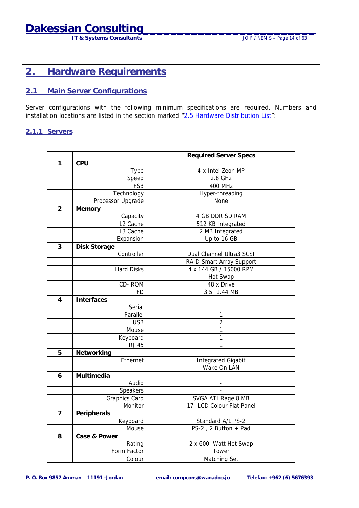## <span id="page-13-0"></span>**Dakessian Consulting\_\_\_\_\_\_\_\_\_\_\_\_\_\_\_\_\_\_\_\_\_\_\_\_\_**

**IT & Systems Consultants JOIF / NEMIS – Page 14 of 63** 

### **2. Hardware Requirements**

#### **2.1 Main Server Configurations**

Server configurations with the following minimum specifications are required. Numbers and installation locations are listed in the section marked "[2.5 Hardware Distribution List"](#page-19-0):

#### **2.1.1 Servers**

|                         |                      | <b>Required Server Specs</b> |
|-------------------------|----------------------|------------------------------|
| 1                       | <b>CPU</b>           |                              |
|                         | <b>Type</b>          | 4 x Intel Zeon MP            |
|                         | Speed                | 2.8 GHz                      |
|                         | <b>FSB</b>           | <b>400 MHz</b>               |
|                         | Technology           | Hyper-threading              |
|                         | Processor Upgrade    | None                         |
| $\overline{2}$          | Memory               |                              |
|                         | Capacity             | 4 GB DDR SD RAM              |
|                         | L2 Cache             | 512 KB Integrated            |
|                         | L3 Cache             | 2 MB Integrated              |
|                         | Expansion            | Up to 16 GB                  |
| 3                       | Disk Storage         |                              |
|                         | Controller           | Dual Channel Ultra3 SCSI     |
|                         |                      | RAID Smart Array Support     |
|                         | <b>Hard Disks</b>    | 4 x 144 GB / 15000 RPM       |
|                         |                      | Hot Swap                     |
|                         | CD-ROM               | 48 x Drive                   |
|                         | <b>FD</b>            | 3.5" 1.44 MB                 |
| $\overline{\mathbf{4}}$ | Interfaces           |                              |
|                         | Serial               | 1                            |
|                         | Parallel             | 1                            |
|                         | <b>USB</b>           | $\overline{c}$               |
|                         | Mouse                | $\mathbf{1}$                 |
|                         | Keyboard             | $\mathbf{1}$                 |
|                         | <b>RJ 45</b>         | 1                            |
| 5                       | Networking           |                              |
|                         | Ethernet             | <b>Integrated Gigabit</b>    |
|                         |                      | Wake On LAN                  |
| 6                       | Multimedia           |                              |
|                         | Audio                |                              |
|                         | Speakers             |                              |
|                         | <b>Graphics Card</b> | SVGA ATI Rage 8 MB           |
|                         | Monitor              | 17" LCD Colour Flat Panel    |
| $\overline{7}$          | Peripherals          |                              |
|                         | Keyboard             | Standard A/L PS-2            |
|                         | Mouse                | PS-2, 2 Button + Pad         |
| 8                       | Case & Power         |                              |
|                         | Rating               | 2 x 600 Watt Hot Swap        |
|                         | Form Factor          | Tower                        |
|                         | Colour               | Matching Set                 |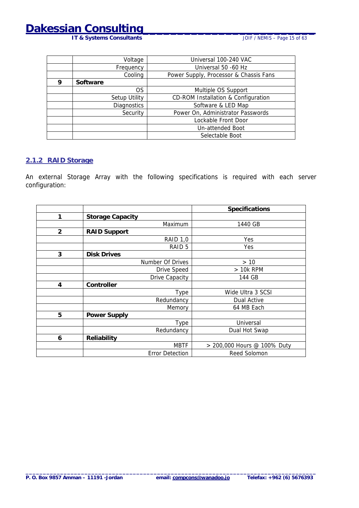**IT & Systems Consultants** 

<span id="page-14-0"></span>

|   | Voltage            | Universal 100-240 VAC                  |
|---|--------------------|----------------------------------------|
|   | Frequency          | Universal 50 -60 Hz                    |
|   | Cooling            | Power Supply, Processor & Chassis Fans |
| 9 | Software           |                                        |
|   | <b>OS</b>          | Multiple OS Support                    |
|   | Setup Utility      | CD-ROM Installation & Configuration    |
|   | <b>Diagnostics</b> | Software & LED Map                     |
|   | Security           | Power On, Administrator Passwords      |
|   |                    | Lockable Front Door                    |
|   |                    | Un-attended Boot                       |
|   |                    | Selectable Boot                        |

### **2.1.2 RAID Storage**

An external Storage Array with the following specifications is required with each server configuration:

|                         |                         | <b>Specifications</b>       |
|-------------------------|-------------------------|-----------------------------|
| 1                       | <b>Storage Capacity</b> |                             |
|                         | Maximum                 | 1440 GB                     |
| $\overline{2}$          | <b>RAID Support</b>     |                             |
|                         | <b>RAID 1,0</b>         | Yes                         |
|                         | RAID <sub>5</sub>       | Yes                         |
| 3                       | <b>Disk Drives</b>      |                             |
|                         | Number Of Drives        | $>10$                       |
|                         | Drive Speed             | $>10k$ RPM                  |
|                         | Drive Capacity          | 144 GB                      |
| $\overline{\mathbf{4}}$ | Controller              |                             |
|                         | Type                    | Wide Ultra 3 SCSI           |
|                         | Redundancy              | Dual Active                 |
|                         | Memory                  | 64 MB Each                  |
| 5                       | <b>Power Supply</b>     |                             |
|                         | Type                    | Universal                   |
|                         | Redundancy              | Dual Hot Swap               |
| 6                       | Reliability             |                             |
|                         | <b>MBTF</b>             | > 200,000 Hours @ 100% Duty |
|                         | <b>Error Detection</b>  | Reed Solomon                |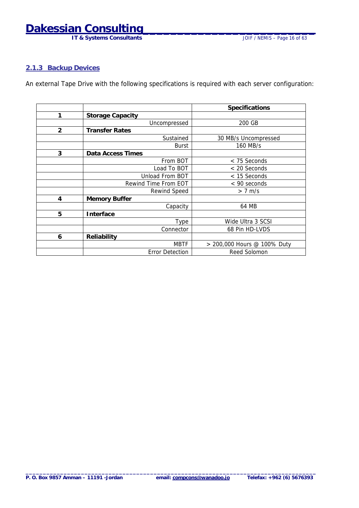**IT & Systems Consultants** 

#### <span id="page-15-0"></span>**2.1.3 Backup Devices**

An external Tape Drive with the following specifications is required with each server configuration:

|                |                         | <b>Specifications</b>       |
|----------------|-------------------------|-----------------------------|
| 1              | <b>Storage Capacity</b> |                             |
|                | Uncompressed            | 200 GB                      |
| $\overline{2}$ | <b>Transfer Rates</b>   |                             |
|                | Sustained               | 30 MB/s Uncompressed        |
|                | <b>Burst</b>            | 160 MB/s                    |
| 3              | Data Access Times       |                             |
|                | From BOT                | < 75 Seconds                |
|                | Load To BOT             | < 20 Seconds                |
|                | Unload From BOT         | < 15 Seconds                |
|                | Rewind Time From EOT    | $<$ 90 seconds              |
|                | Rewind Speed            | $> 7$ m/s                   |
| 4              | <b>Memory Buffer</b>    |                             |
|                | Capacity                | 64 MB                       |
| 5              | Interface               |                             |
|                | Type                    | Wide Ultra 3 SCSI           |
|                | Connector               | 68 Pin HD-LVDS              |
| 6              | Reliability             |                             |
|                | <b>MBTF</b>             | > 200,000 Hours @ 100% Duty |
|                | <b>Error Detection</b>  | Reed Solomon                |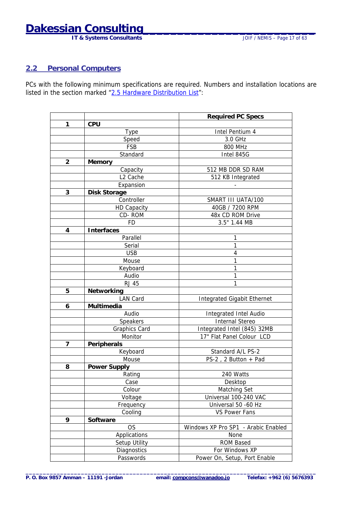## <span id="page-16-0"></span>**Dakessian Consulting\_\_\_\_\_\_\_\_\_\_\_\_\_\_\_\_\_\_\_\_\_\_\_\_\_**

**IT & Systems Consultants JOIF / NEMIS – Page 17 of 63** 

### **2.2 Personal Computers**

PCs with the following minimum specifications are required. Numbers and installation locations are listed in the section marked "[2.5 Hardware Distribution List"](#page-19-0):

|                |                      | <b>Required PC Specs</b>            |  |  |
|----------------|----------------------|-------------------------------------|--|--|
| 1              | <b>CPU</b>           |                                     |  |  |
|                | <b>Type</b>          | Intel Pentium 4                     |  |  |
|                | Speed                | 3.0 GHz                             |  |  |
|                | <b>FSB</b>           | 800 MHz                             |  |  |
|                | Standard             | Intel 845G                          |  |  |
| $\overline{2}$ | Memory               |                                     |  |  |
|                | Capacity             | 512 MB DDR SD RAM                   |  |  |
|                | L <sub>2</sub> Cache | 512 KB Integrated                   |  |  |
|                | Expansion            |                                     |  |  |
| 3              | <b>Disk Storage</b>  |                                     |  |  |
|                | Controller           | SMART III UATA/100                  |  |  |
|                | <b>HD Capacity</b>   | 40GB / 7200 RPM                     |  |  |
|                | CD-ROM               | 48x CD ROM Drive                    |  |  |
|                | <b>FD</b>            | $3.5"$ 1.44 MB                      |  |  |
| 4              | Interfaces           |                                     |  |  |
|                | Parallel             | 1                                   |  |  |
|                | Serial               | 1                                   |  |  |
|                | <b>USB</b>           | 4                                   |  |  |
|                | Mouse                | 1                                   |  |  |
|                | Keyboard             | 1                                   |  |  |
|                | Audio                | 1                                   |  |  |
|                | <b>RJ 45</b>         | 1                                   |  |  |
| 5              | Networking           |                                     |  |  |
|                | <b>LAN Card</b>      | <b>Integrated Gigabit Ethernet</b>  |  |  |
| 6              | Multimedia           |                                     |  |  |
|                | Audio                | Integrated Intel Audio              |  |  |
|                | Speakers             | <b>Internal Stereo</b>              |  |  |
|                | <b>Graphics Card</b> | Integrated Intel (845) 32MB         |  |  |
|                | Monitor              | 17" Flat Panel Colour LCD           |  |  |
| 7              | Peripherals          |                                     |  |  |
|                | Keyboard             | Standard A/L PS-2                   |  |  |
|                | Mouse                | PS-2, 2 Button + Pad                |  |  |
| 8              | <b>Power Supply</b>  |                                     |  |  |
|                | Rating               | 240 Watts                           |  |  |
|                | Case                 | Desktop                             |  |  |
|                | Colour               | Matching Set                        |  |  |
|                | Voltage              | Universal 100-240 VAC               |  |  |
|                | Frequency            | Universal 50 -60 Hz                 |  |  |
|                | Cooling              | <b>VS Power Fans</b>                |  |  |
| 9              | Software             |                                     |  |  |
|                | <b>OS</b>            | Windows XP Pro SP1 - Arabic Enabled |  |  |
|                | Applications         | None                                |  |  |
|                | Setup Utility        | <b>ROM Based</b>                    |  |  |
|                | Diagnostics          | For Windows XP                      |  |  |
|                | Passwords            | Power On, Setup, Port Enable        |  |  |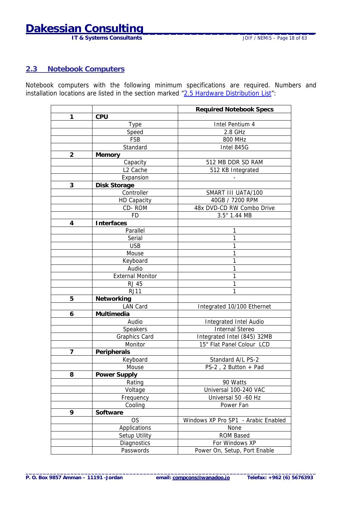**IT & Systems Consultants** 

### <span id="page-17-0"></span>**2.3 Notebook Computers**

Notebook computers with the following minimum specifications are required. Numbers and installation locations are listed in the section marked "[2.5 Hardware Distribution List"](#page-19-0):

| 1<br><b>CPU</b><br>Intel Pentium 4<br><b>Type</b><br>2.8 GHz<br>Speed<br><b>FSB</b><br><b>800 MHz</b><br>Standard<br>Intel 845G<br>$\overline{2}$<br>Memory<br>Capacity<br>512 MB DDR SD RAM<br>L <sub>2</sub> Cache<br>512 KB Integrated<br>Expansion<br>3<br><b>Disk Storage</b><br>Controller<br>SMART III UATA/100<br><b>HD Capacity</b><br>40GB / 7200 RPM<br>CD-ROM<br>48x DVD-CD RW Combo Drive<br>$3.5"$ 1.44 MB<br><b>FD</b><br>Interfaces<br>4<br>Parallel<br>1<br>1<br>Serial<br><b>USB</b><br>1<br>1<br>Mouse<br>1<br>Keyboard<br>1<br>Audio<br><b>External Monitor</b><br>1<br>1<br><b>RJ 45</b><br>RJ11<br>1<br>5<br>Networking<br><b>LAN Card</b><br>Integrated 10/100 Ethernet<br>Multimedia<br>6<br>Audio<br>Integrated Intel Audio<br>Speakers<br><b>Internal Stereo</b><br><b>Graphics Card</b><br>Integrated Intel (845) 32MB<br>15" Flat Panel Colour LCD<br>Monitor<br>$\overline{7}$<br>Peripherals<br>Keyboard<br>Standard A/L PS-2<br>PS-2, 2 Button + Pad<br>Mouse<br>Power Supply<br>8<br>90 Watts<br>Rating<br>Universal 100-240 VAC<br>Voltage<br>Universal 50 -60 Hz<br>Frequency<br>Cooling<br>Power Fan<br>9<br>Software<br><b>OS</b><br>Windows XP Pro SP1 - Arabic Enabled<br>Applications<br>None<br>Setup Utility<br><b>ROM Based</b><br>For Windows XP<br>Diagnostics |           | <b>Required Notebook Specs</b> |  |
|------------------------------------------------------------------------------------------------------------------------------------------------------------------------------------------------------------------------------------------------------------------------------------------------------------------------------------------------------------------------------------------------------------------------------------------------------------------------------------------------------------------------------------------------------------------------------------------------------------------------------------------------------------------------------------------------------------------------------------------------------------------------------------------------------------------------------------------------------------------------------------------------------------------------------------------------------------------------------------------------------------------------------------------------------------------------------------------------------------------------------------------------------------------------------------------------------------------------------------------------------------------------------------------------------------|-----------|--------------------------------|--|
|                                                                                                                                                                                                                                                                                                                                                                                                                                                                                                                                                                                                                                                                                                                                                                                                                                                                                                                                                                                                                                                                                                                                                                                                                                                                                                            |           |                                |  |
|                                                                                                                                                                                                                                                                                                                                                                                                                                                                                                                                                                                                                                                                                                                                                                                                                                                                                                                                                                                                                                                                                                                                                                                                                                                                                                            |           |                                |  |
|                                                                                                                                                                                                                                                                                                                                                                                                                                                                                                                                                                                                                                                                                                                                                                                                                                                                                                                                                                                                                                                                                                                                                                                                                                                                                                            |           |                                |  |
|                                                                                                                                                                                                                                                                                                                                                                                                                                                                                                                                                                                                                                                                                                                                                                                                                                                                                                                                                                                                                                                                                                                                                                                                                                                                                                            |           |                                |  |
|                                                                                                                                                                                                                                                                                                                                                                                                                                                                                                                                                                                                                                                                                                                                                                                                                                                                                                                                                                                                                                                                                                                                                                                                                                                                                                            |           |                                |  |
|                                                                                                                                                                                                                                                                                                                                                                                                                                                                                                                                                                                                                                                                                                                                                                                                                                                                                                                                                                                                                                                                                                                                                                                                                                                                                                            |           |                                |  |
|                                                                                                                                                                                                                                                                                                                                                                                                                                                                                                                                                                                                                                                                                                                                                                                                                                                                                                                                                                                                                                                                                                                                                                                                                                                                                                            |           |                                |  |
|                                                                                                                                                                                                                                                                                                                                                                                                                                                                                                                                                                                                                                                                                                                                                                                                                                                                                                                                                                                                                                                                                                                                                                                                                                                                                                            |           |                                |  |
|                                                                                                                                                                                                                                                                                                                                                                                                                                                                                                                                                                                                                                                                                                                                                                                                                                                                                                                                                                                                                                                                                                                                                                                                                                                                                                            |           |                                |  |
|                                                                                                                                                                                                                                                                                                                                                                                                                                                                                                                                                                                                                                                                                                                                                                                                                                                                                                                                                                                                                                                                                                                                                                                                                                                                                                            |           |                                |  |
|                                                                                                                                                                                                                                                                                                                                                                                                                                                                                                                                                                                                                                                                                                                                                                                                                                                                                                                                                                                                                                                                                                                                                                                                                                                                                                            |           |                                |  |
|                                                                                                                                                                                                                                                                                                                                                                                                                                                                                                                                                                                                                                                                                                                                                                                                                                                                                                                                                                                                                                                                                                                                                                                                                                                                                                            |           |                                |  |
|                                                                                                                                                                                                                                                                                                                                                                                                                                                                                                                                                                                                                                                                                                                                                                                                                                                                                                                                                                                                                                                                                                                                                                                                                                                                                                            |           |                                |  |
|                                                                                                                                                                                                                                                                                                                                                                                                                                                                                                                                                                                                                                                                                                                                                                                                                                                                                                                                                                                                                                                                                                                                                                                                                                                                                                            |           |                                |  |
|                                                                                                                                                                                                                                                                                                                                                                                                                                                                                                                                                                                                                                                                                                                                                                                                                                                                                                                                                                                                                                                                                                                                                                                                                                                                                                            |           |                                |  |
|                                                                                                                                                                                                                                                                                                                                                                                                                                                                                                                                                                                                                                                                                                                                                                                                                                                                                                                                                                                                                                                                                                                                                                                                                                                                                                            |           |                                |  |
|                                                                                                                                                                                                                                                                                                                                                                                                                                                                                                                                                                                                                                                                                                                                                                                                                                                                                                                                                                                                                                                                                                                                                                                                                                                                                                            |           |                                |  |
|                                                                                                                                                                                                                                                                                                                                                                                                                                                                                                                                                                                                                                                                                                                                                                                                                                                                                                                                                                                                                                                                                                                                                                                                                                                                                                            |           |                                |  |
|                                                                                                                                                                                                                                                                                                                                                                                                                                                                                                                                                                                                                                                                                                                                                                                                                                                                                                                                                                                                                                                                                                                                                                                                                                                                                                            |           |                                |  |
|                                                                                                                                                                                                                                                                                                                                                                                                                                                                                                                                                                                                                                                                                                                                                                                                                                                                                                                                                                                                                                                                                                                                                                                                                                                                                                            |           |                                |  |
|                                                                                                                                                                                                                                                                                                                                                                                                                                                                                                                                                                                                                                                                                                                                                                                                                                                                                                                                                                                                                                                                                                                                                                                                                                                                                                            |           |                                |  |
|                                                                                                                                                                                                                                                                                                                                                                                                                                                                                                                                                                                                                                                                                                                                                                                                                                                                                                                                                                                                                                                                                                                                                                                                                                                                                                            |           |                                |  |
|                                                                                                                                                                                                                                                                                                                                                                                                                                                                                                                                                                                                                                                                                                                                                                                                                                                                                                                                                                                                                                                                                                                                                                                                                                                                                                            |           |                                |  |
|                                                                                                                                                                                                                                                                                                                                                                                                                                                                                                                                                                                                                                                                                                                                                                                                                                                                                                                                                                                                                                                                                                                                                                                                                                                                                                            |           |                                |  |
|                                                                                                                                                                                                                                                                                                                                                                                                                                                                                                                                                                                                                                                                                                                                                                                                                                                                                                                                                                                                                                                                                                                                                                                                                                                                                                            |           |                                |  |
|                                                                                                                                                                                                                                                                                                                                                                                                                                                                                                                                                                                                                                                                                                                                                                                                                                                                                                                                                                                                                                                                                                                                                                                                                                                                                                            |           |                                |  |
|                                                                                                                                                                                                                                                                                                                                                                                                                                                                                                                                                                                                                                                                                                                                                                                                                                                                                                                                                                                                                                                                                                                                                                                                                                                                                                            |           |                                |  |
|                                                                                                                                                                                                                                                                                                                                                                                                                                                                                                                                                                                                                                                                                                                                                                                                                                                                                                                                                                                                                                                                                                                                                                                                                                                                                                            |           |                                |  |
|                                                                                                                                                                                                                                                                                                                                                                                                                                                                                                                                                                                                                                                                                                                                                                                                                                                                                                                                                                                                                                                                                                                                                                                                                                                                                                            |           |                                |  |
|                                                                                                                                                                                                                                                                                                                                                                                                                                                                                                                                                                                                                                                                                                                                                                                                                                                                                                                                                                                                                                                                                                                                                                                                                                                                                                            |           |                                |  |
|                                                                                                                                                                                                                                                                                                                                                                                                                                                                                                                                                                                                                                                                                                                                                                                                                                                                                                                                                                                                                                                                                                                                                                                                                                                                                                            |           |                                |  |
|                                                                                                                                                                                                                                                                                                                                                                                                                                                                                                                                                                                                                                                                                                                                                                                                                                                                                                                                                                                                                                                                                                                                                                                                                                                                                                            |           |                                |  |
|                                                                                                                                                                                                                                                                                                                                                                                                                                                                                                                                                                                                                                                                                                                                                                                                                                                                                                                                                                                                                                                                                                                                                                                                                                                                                                            |           |                                |  |
|                                                                                                                                                                                                                                                                                                                                                                                                                                                                                                                                                                                                                                                                                                                                                                                                                                                                                                                                                                                                                                                                                                                                                                                                                                                                                                            |           |                                |  |
|                                                                                                                                                                                                                                                                                                                                                                                                                                                                                                                                                                                                                                                                                                                                                                                                                                                                                                                                                                                                                                                                                                                                                                                                                                                                                                            |           |                                |  |
|                                                                                                                                                                                                                                                                                                                                                                                                                                                                                                                                                                                                                                                                                                                                                                                                                                                                                                                                                                                                                                                                                                                                                                                                                                                                                                            |           |                                |  |
|                                                                                                                                                                                                                                                                                                                                                                                                                                                                                                                                                                                                                                                                                                                                                                                                                                                                                                                                                                                                                                                                                                                                                                                                                                                                                                            |           |                                |  |
|                                                                                                                                                                                                                                                                                                                                                                                                                                                                                                                                                                                                                                                                                                                                                                                                                                                                                                                                                                                                                                                                                                                                                                                                                                                                                                            |           |                                |  |
|                                                                                                                                                                                                                                                                                                                                                                                                                                                                                                                                                                                                                                                                                                                                                                                                                                                                                                                                                                                                                                                                                                                                                                                                                                                                                                            |           |                                |  |
|                                                                                                                                                                                                                                                                                                                                                                                                                                                                                                                                                                                                                                                                                                                                                                                                                                                                                                                                                                                                                                                                                                                                                                                                                                                                                                            |           |                                |  |
|                                                                                                                                                                                                                                                                                                                                                                                                                                                                                                                                                                                                                                                                                                                                                                                                                                                                                                                                                                                                                                                                                                                                                                                                                                                                                                            |           |                                |  |
|                                                                                                                                                                                                                                                                                                                                                                                                                                                                                                                                                                                                                                                                                                                                                                                                                                                                                                                                                                                                                                                                                                                                                                                                                                                                                                            |           |                                |  |
|                                                                                                                                                                                                                                                                                                                                                                                                                                                                                                                                                                                                                                                                                                                                                                                                                                                                                                                                                                                                                                                                                                                                                                                                                                                                                                            |           |                                |  |
|                                                                                                                                                                                                                                                                                                                                                                                                                                                                                                                                                                                                                                                                                                                                                                                                                                                                                                                                                                                                                                                                                                                                                                                                                                                                                                            |           |                                |  |
|                                                                                                                                                                                                                                                                                                                                                                                                                                                                                                                                                                                                                                                                                                                                                                                                                                                                                                                                                                                                                                                                                                                                                                                                                                                                                                            | Passwords | Power On, Setup, Port Enable   |  |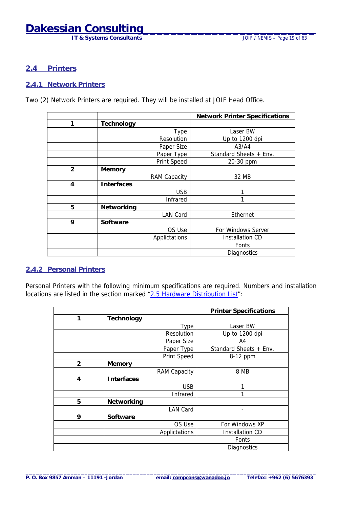## <span id="page-18-0"></span>**Dakessian Consulting\_\_\_\_\_\_\_\_\_\_\_\_\_\_\_\_\_\_\_\_\_\_\_\_\_**

**IT & Systems Consultants JOIF / NEMIS – Page 19 of 63** 

#### **2.4 Printers**

#### **2.4.1 Network Printers**

Two (2) Network Printers are required. They will be installed at JOIF Head Office.

|                |                   |                 | <b>Network Printer Specifications</b> |
|----------------|-------------------|-----------------|---------------------------------------|
| 1              | Technology        |                 |                                       |
|                |                   | Type            | Laser BW                              |
|                |                   | Resolution      | Up to 1200 dpi                        |
|                |                   | Paper Size      | A3/A4                                 |
|                |                   | Paper Type      | Standard Sheets + Env.                |
|                |                   | Print Speed     | 20-30 ppm                             |
| $\overline{2}$ | Memory            |                 |                                       |
|                |                   | RAM Capacity    | 32 MB                                 |
| 4              | <b>Interfaces</b> |                 |                                       |
|                |                   | <b>USB</b>      |                                       |
|                |                   | <b>Infrared</b> |                                       |
| 5              | Networking        |                 |                                       |
|                |                   | <b>LAN Card</b> | Ethernet                              |
| 9              | Software          |                 |                                       |
|                |                   | OS Use          | For Windows Server                    |
|                |                   | Applictations   | <b>Installation CD</b>                |
|                |                   |                 | Fonts                                 |
|                |                   |                 | Diagnostics                           |

#### **2.4.2 Personal Printers**

Personal Printers with the following minimum specifications are required. Numbers and installation locations are listed in the section marked "[2.5 Hardware Distribution List"](#page-19-0):

|                |                   |               | <b>Printer Specifications</b> |
|----------------|-------------------|---------------|-------------------------------|
| 1              | Technology        |               |                               |
|                |                   | Type          | Laser BW                      |
|                |                   | Resolution    | Up to 1200 dpi                |
|                |                   | Paper Size    | A4                            |
|                |                   | Paper Type    | Standard Sheets + Env.        |
|                |                   | Print Speed   | 8-12 ppm                      |
| $\overline{2}$ | Memory            |               |                               |
|                |                   | RAM Capacity  | 8 MB                          |
| $\overline{4}$ | <b>Interfaces</b> |               |                               |
|                |                   | <b>USB</b>    |                               |
|                |                   | Infrared      |                               |
| 5              | Networking        |               |                               |
|                |                   | LAN Card      |                               |
| 9              | Software          |               |                               |
|                |                   | OS Use        | For Windows XP                |
|                |                   | Applictations | Installation CD               |
|                |                   |               | Fonts                         |
|                |                   |               | Diagnostics                   |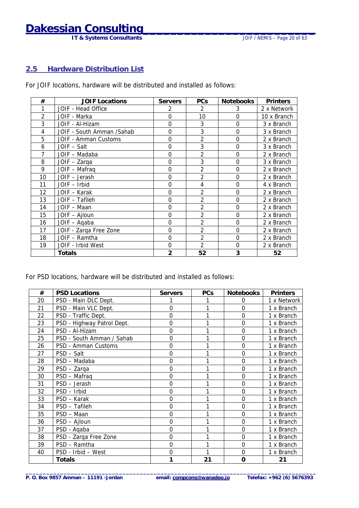**IT & Systems Consultants** 

#### <span id="page-19-0"></span>**2.5 Hardware Distribution List**

For JOIF locations, hardware will be distributed and installed as follows:

| #              | <b>JOIF Locations</b>     | <b>Servers</b> | <b>PCs</b>     | Notebooks      | <b>Printers</b> |
|----------------|---------------------------|----------------|----------------|----------------|-----------------|
|                | JOIF - Head Office        | 2              | 2              | 3              | 2 x Network     |
| $\mathfrak{D}$ | JOIF - Marka              | $\overline{0}$ | 10             | $\Omega$       | 10 x Branch     |
| 3              | JOIF - Al-Hizam           | $\Omega$       | 3              | $\Omega$       | 3 x Branch      |
| 4              | JOIF - South Amman /Sahab | $\Omega$       | 3              | $\Omega$       | 3 x Branch      |
| 5              | JOIF - Amman Customs      | 0              | $\overline{2}$ | $\Omega$       | 2 x Branch      |
| 6              | JOIF – Salt               | $\overline{0}$ | 3              | $\Omega$       | 3 x Branch      |
| 7              | JOIF - Madaba             | $\Omega$       | $\overline{2}$ | $\Omega$       | 2 x Branch      |
| 8              | JOIF - Zarga              | $\Omega$       | 3              | 0              | 3 x Branch      |
| 9              | JOIF - Mafraq             | $\Omega$       | $\overline{2}$ | $\Omega$       | 2 x Branch      |
| 10             | JOIF - Jerash             | $\mathbf 0$    | 2              | $\mathbf 0$    | 2 x Branch      |
| 11             | JOIF - Irbid              | $\overline{0}$ | 4              | $\Omega$       | 4 x Branch      |
| 12             | JOIF - Karak              | $\Omega$       | 2              | $\Omega$       | 2 x Branch      |
| 13             | JOIF - Tafileh            | $\Omega$       | $\overline{2}$ | $\overline{0}$ | 2 x Branch      |
| 14             | JOIF - Maan               | $\mathbf 0$    | $\overline{2}$ | $\Omega$       | 2 x Branch      |
| 15             | JOIF - Ajloun             | $\mathbf 0$    | $\overline{2}$ | 0              | 2 x Branch      |
| 16             | JOIF - Aqaba              | $\Omega$       | $\overline{2}$ | $\Omega$       | 2 x Branch      |
| 17             | JOIF - Zarqa Free Zone    | $\mathbf 0$    | $\overline{2}$ | $\overline{0}$ | 2 x Branch      |
| 18             | JOIF - Ramtha             | $\Omega$       | $\overline{2}$ | $\Omega$       | 2 x Branch      |
| 19             | JOIF - Irbid West         | $\Omega$       | $\mathfrak{D}$ | $\Omega$       | 2 x Branch      |
|                | Totals                    | $\overline{2}$ | 52             | 3              | 52              |

For PSD locations, hardware will be distributed and installed as follows:

| #  | <b>PSD Locations</b>       | <b>Servers</b> | <b>PCs</b> | <b>Notebooks</b> | <b>Printers</b> |
|----|----------------------------|----------------|------------|------------------|-----------------|
| 20 | PSD - Main DLC Dept.       |                |            | $\Omega$         | 1 x Network     |
| 21 | PSD - Main VLC Dept.       | $\overline{0}$ | 1          | $\overline{0}$   | 1 x Branch      |
| 22 | PSD - Traffic Dept.        | 0              |            | $\overline{0}$   | 1 x Branch      |
| 23 | PSD - Highway Patrol Dept. | 0              |            | $\overline{0}$   | 1 x Branch      |
| 24 | PSD - Al-Hizam             | 0              |            | $\mathbf 0$      | 1 x Branch      |
| 25 | PSD - South Amman / Sahab  | 0              |            | $\mathbf 0$      | 1 x Branch      |
| 26 | PSD - Amman Customs        | 0              | 1          | $\overline{0}$   | 1 x Branch      |
| 27 | PSD - Salt                 | $\mathbf 0$    |            | $\overline{0}$   | 1 x Branch      |
| 28 | PSD - Madaba               | $\mathbf 0$    |            | $\overline{0}$   | 1 x Branch      |
| 29 | PSD - Zarga                | 0              |            | $\mathbf 0$      | 1 x Branch      |
| 30 | PSD - Mafraq               | $\mathbf 0$    |            | $\overline{0}$   | 1 x Branch      |
| 31 | PSD - Jerash               | $\overline{0}$ |            | $\overline{0}$   | 1 x Branch      |
| 32 | PSD - Irbid                | 0              |            | $\overline{0}$   | 1 x Branch      |
| 33 | PSD - Karak                | 0              |            | $\overline{0}$   | 1 x Branch      |
| 34 | PSD - Tafileh              | 0              |            | $\mathbf 0$      | 1 x Branch      |
| 35 | PSD - Maan                 | 0              |            | $\overline{0}$   | 1 x Branch      |
| 36 | PSD - Ajloun               | $\Omega$       | 1          | $\overline{0}$   | 1 x Branch      |
| 37 | PSD - Aqaba                | $\mathbf 0$    |            | $\overline{0}$   | 1 x Branch      |
| 38 | PSD - Zarqa Free Zone      | $\mathbf 0$    |            | $\overline{0}$   | 1 x Branch      |
| 39 | PSD - Ramtha               | $\Omega$       |            | $\overline{0}$   | 1 x Branch      |
| 40 | PSD - Irbid - West         | $\mathbf 0$    |            | $\overline{0}$   | 1 x Branch      |
|    | <b>Totals</b>              |                | 21         | $\mathbf 0$      | 21              |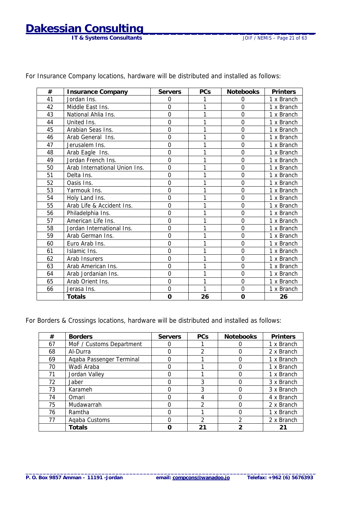## **Dakessian Consulting**

| #  | <b>Insurance Company</b>      | <b>Servers</b> | <b>PCs</b> | <b>Notebooks</b> | <b>Printers</b> |
|----|-------------------------------|----------------|------------|------------------|-----------------|
| 41 | Jordan Ins.                   | $\Omega$       |            | $\Omega$         | 1 x Branch      |
| 42 | Middle East Ins.              | $\overline{0}$ | 1          | $\overline{0}$   | 1 x Branch      |
| 43 | National Ahlia Ins.           | 0              | 1          | $\overline{0}$   | 1 x Branch      |
| 44 | United Ins.                   | $\Omega$       | 1          | $\overline{0}$   | 1 x Branch      |
| 45 | Arabian Seas Ins.             | $\overline{0}$ | 1          | $\overline{O}$   | 1 x Branch      |
| 46 | Arab General Ins.             | 0              |            | $\overline{0}$   | 1 x Branch      |
| 47 | Jerusalem Ins.                | $\Omega$       | 1          | $\overline{0}$   | 1 x Branch      |
| 48 | Arab Eagle Ins.               | $\overline{0}$ | 1          | $\overline{O}$   | 1 x Branch      |
| 49 | Jordan French Ins.            | $\overline{0}$ |            | $\overline{0}$   | 1 x Branch      |
| 50 | Arab International Union Ins. | 0              | 1          | $\overline{0}$   | 1 x Branch      |
| 51 | Delta Ins.                    | 0              | 1          | $\overline{0}$   | 1 x Branch      |
| 52 | Oasis Ins.                    | $\overline{0}$ | 1          | $\overline{0}$   | 1 x Branch      |
| 53 | Yarmouk Ins.                  | $\overline{0}$ | 1          | $\overline{0}$   | 1 x Branch      |
| 54 | Holy Land Ins.                | 0              | 1          | $\overline{0}$   | 1 x Branch      |
| 55 | Arab Life & Accident Ins.     | $\overline{0}$ | 1          | $\overline{0}$   | 1 x Branch      |
| 56 | Philadelphia Ins.             | 0              | 1          | $\mathbf 0$      | 1 x Branch      |
| 57 | American Life Ins.            | 0              | 1          | $\overline{O}$   | 1 x Branch      |
| 58 | Jordan International Ins.     | $\overline{0}$ |            | $\overline{0}$   | 1 x Branch      |
| 59 | Arab German Ins.              | 0              | 1          | $\overline{0}$   | 1 x Branch      |
| 60 | Euro Arab Ins.                | 0              | 1          | $\overline{0}$   | 1 x Branch      |
| 61 | Islamic Ins.                  | $\overline{0}$ |            | $\overline{0}$   | 1 x Branch      |
| 62 | Arab Insurers                 | 0              | 1          | $\overline{0}$   | 1 x Branch      |
| 63 | Arab American Ins.            | 0              |            | $\overline{0}$   | 1 x Branch      |
| 64 | Arab Jordanian Ins.           | $\overline{0}$ | 1          | $\overline{0}$   | 1 x Branch      |
| 65 | Arab Orient Ins.              | 0              | 1          | 0                | 1 x Branch      |
| 66 | Jerasa Ins.                   | 0              | 1          | $\overline{0}$   | 1 x Branch      |
|    | <b>Totals</b>                 | O              | 26         | 0                | 26              |

For Insurance Company locations, hardware will be distributed and installed as follows:

For Borders & Crossings locations, hardware will be distributed and installed as follows:

| #  | <b>Borders</b>           | <b>Servers</b> | <b>PCs</b>    | <b>Notebooks</b> | <b>Printers</b> |
|----|--------------------------|----------------|---------------|------------------|-----------------|
| 67 | MoF / Customs Department |                |               |                  | 1 x Branch      |
| 68 | Al-Durra                 |                | 2             |                  | 2 x Branch      |
| 69 | Agaba Passenger Terminal |                |               |                  | 1 x Branch      |
| 70 | Wadi Araba               |                |               |                  | 1 x Branch      |
| 71 | Jordan Valley            |                |               |                  | 1 x Branch      |
| 72 | Jaber                    |                | 3             |                  | 3 x Branch      |
| 73 | Karameh                  |                | 3             |                  | 3 x Branch      |
| 74 | Omari                    |                | 4             |                  | 4 x Branch      |
| 75 | Mudawarrah               |                | 2             |                  | 2 x Branch      |
| 76 | Ramtha                   |                |               |                  | 1 x Branch      |
| 77 | Agaba Customs            |                | $\mathcal{P}$ | າ                | 2 x Branch      |
|    | Totals                   |                | 21            | າ                | 21              |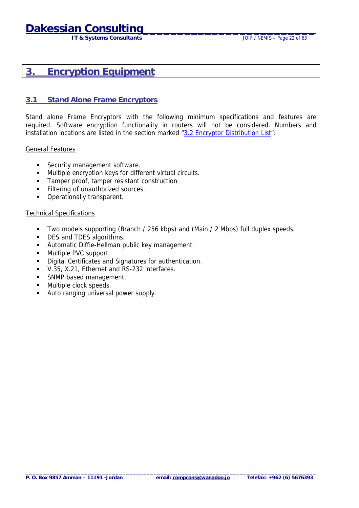## <span id="page-21-0"></span>**Dakessian Consulti**

**IT & Systems Consultants IT & Systems Consultants JOIF / NEMIS – Page 22 of 63** 

### **3. Encryption Equipment**

#### **3.1 Stand Alone Frame Encryptors**

Stand alone Frame Encryptors with the following minimum specifications and features are required. Software encryption functionality in routers will not be considered. Numbers and installation locations are listed in the section marked "[3.2 Encryptor Distribution List"](#page-22-0):

#### General Features

- **EXECUTE SECUTE SOFT** Security management software.
- ! Multiple encryption keys for different virtual circuits.
- ! Tamper proof, tamper resistant construction.
- **Eiltering of unauthorized sources.**
- ! Operationally transparent.

#### Technical Specifications

- ! Two models supporting (Branch / 256 kbps) and (Main / 2 Mbps) full duplex speeds.
- **DES and TDES algorithms.**
- **E** Automatic Diffie-Hellman public key management.
- Multiple PVC support.
- ! Digital Certificates and Signatures for authentication.
- ! V.35, X.21, Ethernet and RS-232 interfaces.
- **EXAMP based management.**
- **In Multiple clock speeds.**
- ! Auto ranging universal power supply.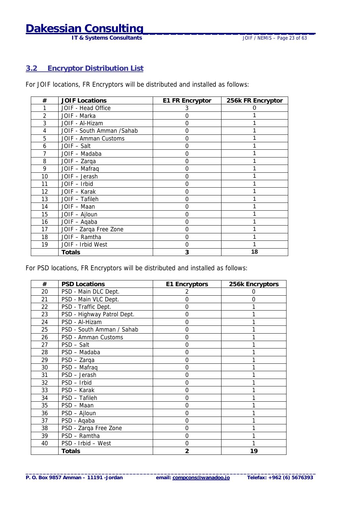## <span id="page-22-0"></span>**Dakessian Consulting**<br>IT & Systems Consultants JOUE / NEMIS – Page 23 of 63

**IT & Systems Consultants** 

#### **3.2 Encryptor Distribution List**

For JOIF locations, FR Encryptors will be distributed and installed as follows:

| #  | <b>JOIF Locations</b>     | <b>E1 FR Encryptor</b> | 256k FR Encryptor |
|----|---------------------------|------------------------|-------------------|
|    | JOIF - Head Office        | 3                      |                   |
| 2  | JOIF - Marka              |                        |                   |
| 3  | JOIF - Al-Hizam           |                        |                   |
| 4  | JOIF - South Amman /Sahab | ( )                    |                   |
| 5  | JOIF - Amman Customs      | 0                      |                   |
| 6  | JOIF - Salt               |                        |                   |
|    | JOIF - Madaba             |                        |                   |
| 8  | JOIF - Zarga              |                        |                   |
| 9  | JOIF - Mafraq             |                        |                   |
| 10 | JOIF - Jerash             | ( )                    |                   |
| 11 | JOIF - Irbid              |                        |                   |
| 12 | JOIF - Karak              |                        |                   |
| 13 | JOIF - Tafileh            | 0                      |                   |
| 14 | JOIF - Maan               | O                      |                   |
| 15 | JOIF - Ajloun             |                        |                   |
| 16 | JOIF - Aqaba              |                        |                   |
| 17 | JOIF - Zarga Free Zone    | O                      |                   |
| 18 | JOIF - Ramtha             | O                      |                   |
| 19 | JOIF - Irbid West         | O                      |                   |
|    | Totals                    |                        | 18                |

For PSD locations, FR Encryptors will be distributed and installed as follows:

| #  | <b>PSD Locations</b>       | <b>E1 Encryptors</b> | 256k Encryptors |
|----|----------------------------|----------------------|-----------------|
| 20 | PSD - Main DLC Dept.       |                      |                 |
| 21 | PSD - Main VLC Dept.       | 0                    | O               |
| 22 | PSD - Traffic Dept.        | 0                    |                 |
| 23 | PSD - Highway Patrol Dept. | 0                    |                 |
| 24 | PSD - Al-Hizam             | 0                    |                 |
| 25 | PSD - South Amman / Sahab  | 0                    |                 |
| 26 | PSD - Amman Customs        | 0                    |                 |
| 27 | PSD - Salt                 | $\Omega$             |                 |
| 28 | PSD - Madaba               | 0                    |                 |
| 29 | PSD - Zarga                | 0                    |                 |
| 30 | PSD - Mafraq               | 0                    |                 |
| 31 | PSD - Jerash               | 0                    |                 |
| 32 | PSD - Irbid                | 0                    |                 |
| 33 | PSD - Karak                | 0                    |                 |
| 34 | PSD - Tafileh              | 0                    |                 |
| 35 | PSD - Maan                 | 0                    |                 |
| 36 | PSD - Ajloun               | 0                    |                 |
| 37 | PSD - Aqaba                | 0                    |                 |
| 38 | PSD - Zarqa Free Zone      | 0                    |                 |
| 39 | PSD - Ramtha               | 0                    |                 |
| 40 | PSD - Irbid - West         | 0                    |                 |
|    | <b>Totals</b>              | $\overline{2}$       | 19              |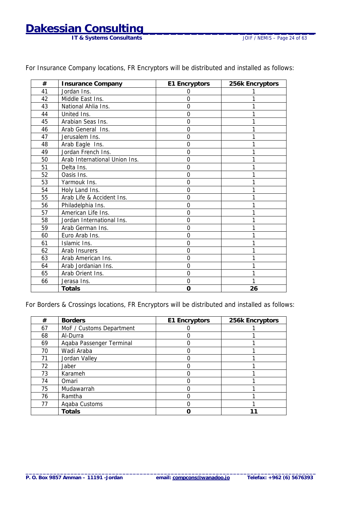**IT & Systems Consultants** 

| #  | <b>Insurance Company</b>      | E1 Encryptors  | 256k Encryptors |
|----|-------------------------------|----------------|-----------------|
| 41 | Jordan Ins.                   | $\Omega$       |                 |
| 42 | Middle East Ins.              | $\Omega$       |                 |
| 43 | National Ahlia Ins.           | $\overline{0}$ |                 |
| 44 | United Ins.                   | $\Omega$       |                 |
| 45 | Arabian Seas Ins.             | $\overline{0}$ |                 |
| 46 | Arab General Ins.             | $\overline{0}$ |                 |
| 47 | Jerusalem Ins.                | $\Omega$       |                 |
| 48 | Arab Eagle Ins.               | $\overline{0}$ |                 |
| 49 | Jordan French Ins.            | $\overline{0}$ |                 |
| 50 | Arab International Union Ins. | $\overline{0}$ |                 |
| 51 | Delta Ins.                    | $\Omega$       |                 |
| 52 | Oasis Ins.                    | $\mathbf 0$    |                 |
| 53 | Yarmouk Ins.                  | $\Omega$       |                 |
| 54 | Holy Land Ins.                | $\Omega$       |                 |
| 55 | Arab Life & Accident Ins.     | $\overline{0}$ |                 |
| 56 | Philadelphia Ins.             | $\Omega$       |                 |
| 57 | American Life Ins.            | $\overline{0}$ |                 |
| 58 | Jordan International Ins.     | $\mathbf 0$    |                 |
| 59 | Arab German Ins.              | $\Omega$       |                 |
| 60 | Euro Arab Ins.                | $\overline{0}$ |                 |
| 61 | Islamic Ins.                  | $\overline{0}$ |                 |
| 62 | Arab Insurers                 | $\Omega$       |                 |
| 63 | Arab American Ins.            | $\mathbf 0$    |                 |
| 64 | Arab Jordanian Ins.           | $\overline{0}$ |                 |
| 65 | Arab Orient Ins.              | $\overline{0}$ |                 |
| 66 | Jerasa Ins.                   | $\Omega$       |                 |
|    | <b>Totals</b>                 | O              | 26              |

For Insurance Company locations, FR Encryptors will be distributed and installed as follows:

For Borders & Crossings locations, FR Encryptors will be distributed and installed as follows:

| #  | <b>Borders</b>           | E1 Encryptors | 256k Encryptors |
|----|--------------------------|---------------|-----------------|
| 67 | MoF / Customs Department |               |                 |
| 68 | Al-Durra                 |               |                 |
| 69 | Agaba Passenger Terminal |               |                 |
| 70 | Wadi Araba               |               |                 |
| 71 | Jordan Valley            |               |                 |
| 72 | Jaber                    |               |                 |
| 73 | Karameh                  |               |                 |
| 74 | Omari                    |               |                 |
| 75 | Mudawarrah               |               |                 |
| 76 | Ramtha                   |               |                 |
| 77 | Agaba Customs            |               |                 |
|    | <b>Totals</b>            |               |                 |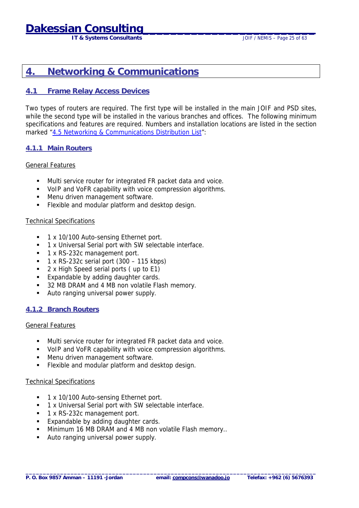**IT & Systems Consultants** JOIF / NEMIS – Page 25 of 63

### <span id="page-24-0"></span>**4. Networking & Communications**

#### **4.1 Frame Relay Access Devices**

Two types of routers are required. The first type will be installed in the main JOIF and PSD sites, while the second type will be installed in the various branches and offices. The following minimum specifications and features are required. Numbers and installation locations are listed in the section marked "[4.5 Networking & Communications Distribution List"](#page-27-0):

#### **4.1.1 Main Routers**

#### General Features

- ! Multi service router for integrated FR packet data and voice.
- ! VoIP and VoFR capability with voice compression algorithms.
- **I** Menu driven management software.
- Flexible and modular platform and desktop design.

#### Technical Specifications

- 1 x 10/100 Auto-sensing Ethernet port.
- ! 1 x Universal Serial port with SW selectable interface.
- **1 x RS-232c management port.**
- ! 1 x RS-232c serial port (300 115 kbps)
- 2 x High Speed serial ports (up to E1)
- **Expandable by adding daughter cards.**
- 32 MB DRAM and 4 MB non volatile Flash memory.
- Auto ranging universal power supply.

#### **4.1.2 Branch Routers**

#### General Features

- ! Multi service router for integrated FR packet data and voice.
- ! VoIP and VoFR capability with voice compression algorithms.
- **.** Menu driven management software.
- **EXECTE 2018** Flexible and modular platform and desktop design.

#### Technical Specifications

- **1** 1 x 10/100 Auto-sensing Ethernet port.
- **1** x Universal Serial port with SW selectable interface.
- ! 1 x RS-232c management port.
- **Expandable by adding daughter cards.**
- ! Minimum 16 MB DRAM and 4 MB non volatile Flash memory..
- Auto ranging universal power supply.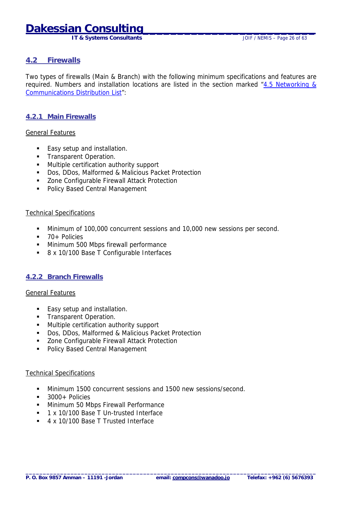## <span id="page-25-0"></span>**Dakessian Consulti**

 **IT & Systems Consultants** JOIF / NEMIS – Page 26 of 63

#### **4.2 Firewalls**

Two types of firewalls (Main & Branch) with the following minimum specifications and features are required. Numbers and installation locations are listed in the section marked "[4.5 Networking &](#page-27-0)  [Communications Distribution List"](#page-27-0):

#### **4.2.1 Main Firewalls**

#### General Features

- **Easy setup and installation.**
- **Transparent Operation.**
- ! Multiple certification authority support
- ! Dos, DDos, Malformed & Malicious Packet Protection
- **EXECO 2018** Zone Configurable Firewall Attack Protection
- **.** Policy Based Central Management

#### Technical Specifications

- ! Minimum of 100,000 concurrent sessions and 10,000 new sessions per second.
- ! 70+ Policies
- **.** Minimum 500 Mbps firewall performance
- 8 x 10/100 Base T Configurable Interfaces

#### **4.2.2 Branch Firewalls**

#### General Features

- **Easy setup and installation.**
- **Transparent Operation.**
- **I** Multiple certification authority support
- ! Dos, DDos, Malformed & Malicious Packet Protection
- **EXECO 2016** Zone Configurable Firewall Attack Protection
- Policy Based Central Management

#### Technical Specifications

- ! Minimum 1500 concurrent sessions and 1500 new sessions/second.
- 3000+ Policies
- **.** Minimum 50 Mbps Firewall Performance
- 1 x 10/100 Base T Un-trusted Interface
- 4 x 10/100 Base T Trusted Interface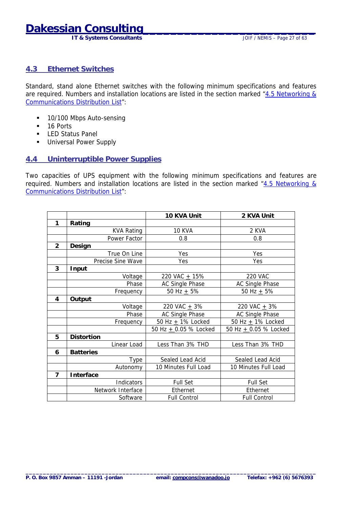## <span id="page-26-0"></span>**Dakessian Consu**

**IT & Systems Consultants IT & Systems Consultants JOIF / NEMIS – Page 27 of 63** 

#### **4.3 Ethernet Switches**

Standard, stand alone Ethernet switches with the following minimum specifications and features are required. Numbers and installation locations are listed in the section marked "[4.5 Networking &](#page-27-0)  [Communications Distribution List"](#page-27-0):

- **10/100 Mbps Auto-sensing**
- 16 Ports
- **E** LED Status Panel
- **Universal Power Supply**

#### **4.4 Uninterruptible Power Supplies**

Two capacities of UPS equipment with the following minimum specifications and features are required. Numbers and installation locations are listed in the section marked " $4.5$  Networking & [Communications Distribution List"](#page-27-0):

|                |                   | 10 KVA Unit             | 2 KVA Unit              |
|----------------|-------------------|-------------------------|-------------------------|
| 1              | Rating            |                         |                         |
|                | <b>KVA Rating</b> | <b>10 KVA</b>           | 2 KVA                   |
|                | Power Factor      | 0.8                     | 0.8                     |
| $\overline{2}$ | Design            |                         |                         |
|                | True On Line      | Yes                     | Yes                     |
|                | Precise Sine Wave | Yes                     | Yes                     |
| 3              | Input             |                         |                         |
|                | Voltage           | 220 VAC $+$ 15%         | <b>220 VAC</b>          |
|                | Phase             | AC Single Phase         | AC Single Phase         |
|                | Frequency         | 50 Hz $+$ 5%            | 50 Hz $+$ 5%            |
| 4              | Output            |                         |                         |
|                | Voltage           | 220 VAC $+$ 3%          | 220 VAC $+$ 3%          |
|                | Phase             | <b>AC Single Phase</b>  | AC Single Phase         |
|                | Frequency         | 50 Hz $+$ 1% Locked     | 50 Hz $\pm$ 1% Locked   |
|                |                   | 50 Hz $+$ 0.05 % Locked | 50 Hz $+$ 0.05 % Locked |
| 5              | <b>Distortion</b> |                         |                         |
|                | Linear Load       | Less Than 3% THD        | Less Than 3% THD        |
| 6              | <b>Batteries</b>  |                         |                         |
|                | Type              | Sealed Lead Acid        | Sealed Lead Acid        |
|                | Autonomy          | 10 Minutes Full Load    | 10 Minutes Full Load    |
| $\overline{7}$ | Interface         |                         |                         |
|                | <b>Indicators</b> | Full Set                | Full Set                |
|                | Network Interface | Ethernet                | Ethernet                |
|                | Software          | <b>Full Control</b>     | <b>Full Control</b>     |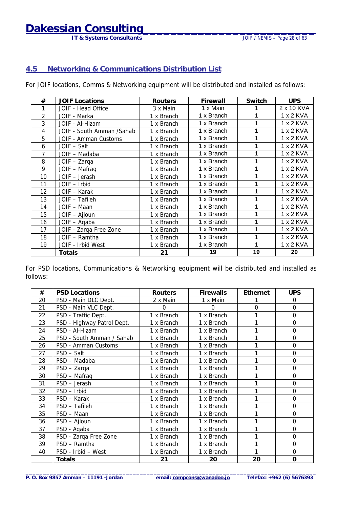## <span id="page-27-0"></span>**Dakessian Consulting\_\_\_\_\_\_\_\_\_\_\_\_\_\_\_\_\_\_\_\_\_\_\_\_\_**

**IT & Systems Consultants JOIF / NEMIS – Page 28 of 63** 

#### **4.5 Networking & Communications Distribution List**

For JOIF locations, Comms & Networking equipment will be distributed and installed as follows:

| #  | <b>JOIF Locations</b>      | <b>Routers</b> | Firewall   | Switch | <b>UPS</b> |
|----|----------------------------|----------------|------------|--------|------------|
|    | JOIF - Head Office         | 3 x Main       | 1 x Main   |        | 2 x 10 KVA |
| 2  | JOIF - Marka               | 1 x Branch     | 1 x Branch | 1      | 1 x 2 KVA  |
| 3  | JOIF - Al-Hizam            | 1 x Branch     | 1 x Branch | 1      | 1 x 2 KVA  |
| 4  | JOIF - South Amman / Sahab | 1 x Branch     | 1 x Branch | 1      | 1 x 2 KVA  |
| 5  | JOIF - Amman Customs       | 1 x Branch     | 1 x Branch | 1      | 1 x 2 KVA  |
| 6  | JOIF - Salt                | 1 x Branch     | 1 x Branch | 1      | 1 x 2 KVA  |
| 7  | JOIF - Madaba              | 1 x Branch     | 1 x Branch | 1      | 1 x 2 KVA  |
| 8  | JOIF - Zarqa               | 1 x Branch     | 1 x Branch | 1      | 1 x 2 KVA  |
| 9  | JOIF - Mafraq              | 1 x Branch     | 1 x Branch | 1      | 1 x 2 KVA  |
| 10 | JOIF - Jerash              | 1 x Branch     | 1 x Branch | 1      | 1 x 2 KVA  |
| 11 | JOIF - Irbid               | 1 x Branch     | 1 x Branch | 1      | 1 x 2 KVA  |
| 12 | JOIF - Karak               | 1 x Branch     | 1 x Branch | 1      | 1 x 2 KVA  |
| 13 | JOIF - Tafileh             | 1 x Branch     | 1 x Branch | 1      | 1 x 2 KVA  |
| 14 | JOIF - Maan                | 1 x Branch     | 1 x Branch | 1      | 1 x 2 KVA  |
| 15 | JOIF - Ajloun              | 1 x Branch     | 1 x Branch | 1      | 1 x 2 KVA  |
| 16 | JOIF - Aqaba               | 1 x Branch     | 1 x Branch | 1      | 1 x 2 KVA  |
| 17 | JOIF - Zarqa Free Zone     | 1 x Branch     | 1 x Branch | 1      | 1 x 2 KVA  |
| 18 | JOIF - Ramtha              | 1 x Branch     | 1 x Branch | 1      | 1 x 2 KVA  |
| 19 | JOIF - Irbid West          | 1 x Branch     | 1 x Branch | 1      | 1 x 2 KVA  |
|    | Totals                     | 21             | 19         | 19     | 20         |

For PSD locations, Communications & Networking equipment will be distributed and installed as follows:

| #  | <b>PSD Locations</b>       | <b>Routers</b> | <b>Firewalls</b> | <b>Ethernet</b> | <b>UPS</b>     |
|----|----------------------------|----------------|------------------|-----------------|----------------|
| 20 | PSD - Main DLC Dept.       | 2 x Main       | 1 x Main         |                 | 0              |
| 21 | PSD - Main VLC Dept.       | 0              | $\Omega$         | $\Omega$        | 0              |
| 22 | PSD - Traffic Dept.        | 1 x Branch     | 1 x Branch       | 1               | $\overline{0}$ |
| 23 | PSD - Highway Patrol Dept. | 1 x Branch     | 1 x Branch       | 1               | 0              |
| 24 | PSD - Al-Hizam             | 1 x Branch     | 1 x Branch       | 1               | $\mathbf 0$    |
| 25 | PSD - South Amman / Sahab  | 1 x Branch     | 1 x Branch       |                 | $\mathbf 0$    |
| 26 | PSD - Amman Customs        | 1 x Branch     | 1 x Branch       | 1               | 0              |
| 27 | PSD - Salt                 | 1 x Branch     | 1 x Branch       |                 | $\overline{0}$ |
| 28 | PSD - Madaba               | 1 x Branch     | 1 x Branch       |                 | $\mathbf 0$    |
| 29 | PSD - Zarga                | 1 x Branch     | 1 x Branch       |                 | $\mathbf 0$    |
| 30 | PSD - Mafraq               | 1 x Branch     | 1 x Branch       |                 | $\mathbf 0$    |
| 31 | PSD - Jerash               | 1 x Branch     | 1 x Branch       |                 | $\mathbf 0$    |
| 32 | PSD - Irbid                | 1 x Branch     | 1 x Branch       |                 | 0              |
| 33 | PSD - Karak                | 1 x Branch     | 1 x Branch       | 1               | $\overline{0}$ |
| 34 | PSD - Tafileh              | 1 x Branch     | 1 x Branch       |                 | $\mathbf 0$    |
| 35 | PSD - Maan                 | 1 x Branch     | 1 x Branch       |                 | $\mathbf 0$    |
| 36 | PSD - Ajloun               | 1 x Branch     | 1 x Branch       | 1               | $\mathbf 0$    |
| 37 | PSD - Aqaba                | 1 x Branch     | 1 x Branch       | 1               | 0              |
| 38 | PSD - Zarqa Free Zone      | 1 x Branch     | 1 x Branch       |                 | $\mathbf 0$    |
| 39 | PSD - Ramtha               | 1 x Branch     | 1 x Branch       | 1               | 0              |
| 40 | PSD - Irbid - West         | 1 x Branch     | 1 x Branch       | 1               | $\mathbf 0$    |
|    | <b>Totals</b>              | 21             | 20               | 20              | $\mathbf 0$    |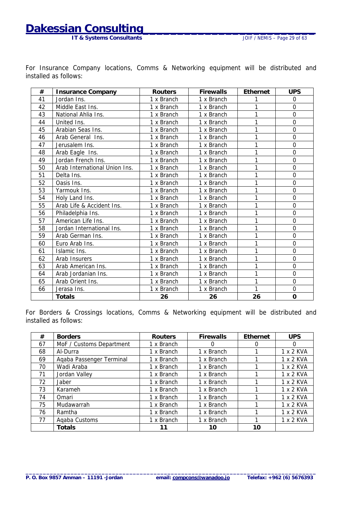### **Dakessian Consulting**

**IT & Systems Consultants IT & Systems Consultants JOIF / NEMIS – Page 29 of 63** 

|    | ror modiance company locations, commis a networking equipment will be distributed and<br>installed as follows: |                |                  |          |            |
|----|----------------------------------------------------------------------------------------------------------------|----------------|------------------|----------|------------|
| #  | <b>Insurance Company</b>                                                                                       | <b>Routers</b> | <b>Firewalls</b> | Ethernet | <b>UPS</b> |
| 41 | Jordan Ins.                                                                                                    | 1 x Branch     | 1 x Branch       |          |            |
| 42 | Middle East Ins.                                                                                               | 1 x Branch     | 1 x Branch       |          |            |
| 43 | National Ahlia Ins.                                                                                            | 1 x Branch     | 1 x Branch       |          |            |

44 United Ins. 1 x Branch 1 x Branch 1 1 0 45 | Arabian Seas Ins. | 1 x Branch | 1 x Branch | 1 | 0 46 Arab General Ins. 1 x Branch 1 x Branch 1 1 0 47 Jerusalem Ins. 1 x Branch 1 x Branch 1 1 0 48 | Arab Eagle Ins. | 1 x Branch | 1 x Branch | 1 | 0 49 Jordan French Ins. | 1 x Branch | 1 x Branch | 1 | 0 50 Arab International Union Ins. 1 1 x Branch 1 x Branch 1 1 1 0 51 Delta Ins. 1 x Branch 1 x Branch 1 1 0 52 | Oasis Ins.  $\begin{array}{|c|c|c|c|c|c|c|c|} \hline \end{array}$  1 x Branch | 1 x Branch | 1 0 53 Yarmouk Ins. 1 x Branch 1 x Branch 1 1 0 54 Holy Land Ins. 1 x Branch 1 x Branch 1 1 0 55 | Arab Life & Accident Ins. | 1 x Branch | 1 x Branch | 1 | 0 56 | Philadelphia Ins. | 1 x Branch | 1 x Branch | 1 | 0 57 American Life Ins. | 1 x Branch | 1 x Branch | 1 | 0 58 Jordan International Ins. 1 x Branch 1 x Branch 1 0 59 | Arab German Ins. | 1 x Branch | 1 x Branch | 1 | 0 60 Euro Arab Ins. 1 x Branch 1 x Branch 1 1 1 0 61 | Islamic Ins. | 1 x Branch | 1 x Branch | 1 | 0 62 | Arab Insurers | 1 x Branch | 1 x Branch | 1 | 0 63 | Arab American Ins. | 1 x Branch | 1 x Branch | 1 | 0 64 | Arab Jordanian Ins. | 1 x Branch | 1 x Branch | 1 | 0 65 | Arab Orient Ins. | 1 x Branch | 1 x Branch | 1 | 0 66 Jerasa Ins. 1 x Branch 1 x Branch 1 1 0  **Totals 26 26 26 0** 

For Insurance Company locations, Comms & Networking equipment will be distributed and

| For Borders & Crossings locations, Comms & Networking equipment will be distributed and<br>installed as follows: |  |  |  |  |  |  |  |  |  |  |
|------------------------------------------------------------------------------------------------------------------|--|--|--|--|--|--|--|--|--|--|

| #  | <b>Borders</b>           | <b>Routers</b> | <b>Firewalls</b> | <b>Ethernet</b> | <b>UPS</b> |
|----|--------------------------|----------------|------------------|-----------------|------------|
| 67 | MoF / Customs Department | 1 x Branch     | $\Omega$         | $\Omega$        | 0          |
| 68 | Al-Durra                 | 1 x Branch     | 1 x Branch       |                 | 1 x 2 KVA  |
| 69 | Agaba Passenger Terminal | 1 x Branch     | 1 x Branch       |                 | 1 x 2 KVA  |
| 70 | Wadi Araba               | 1 x Branch     | 1 x Branch       |                 | 1 x 2 KVA  |
| 71 | Jordan Valley            | 1 x Branch     | 1 x Branch       |                 | 1 x 2 KVA  |
| 72 | Jaber                    | 1 x Branch     | 1 x Branch       |                 | 1 x 2 KVA  |
| 73 | Karameh                  | 1 x Branch     | 1 x Branch       |                 | 1 x 2 KVA  |
| 74 | Omari                    | 1 x Branch     | 1 x Branch       |                 | 1 x 2 KVA  |
| 75 | Mudawarrah               | 1 x Branch     | 1 x Branch       |                 | 1 x 2 KVA  |
| 76 | Ramtha                   | 1 x Branch     | 1 x Branch       |                 | 1 x 2 KVA  |
| 77 | Agaba Customs            | 1 x Branch     | 1 x Branch       |                 | 1 x 2 KVA  |
|    | <b>Totals</b>            |                | 10               | 10              |            |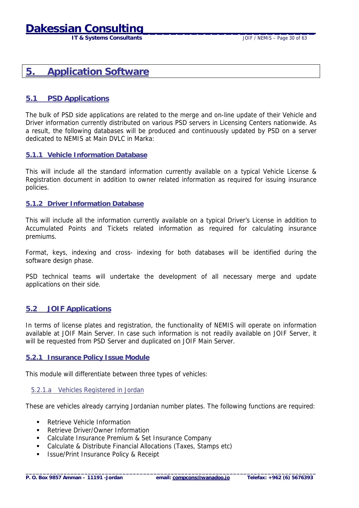## <span id="page-29-0"></span>**Dakessian Consulti**

**IT & Systems Consultants IT & Systems Consultants JOIF / NEMIS – Page 30 of 63** 

### **5. Application Software**

#### **5.1 PSD Applications**

The bulk of PSD side applications are related to the merge and on-line update of their Vehicle and Driver information currently distributed on various PSD servers in Licensing Centers nationwide. As a result, the following databases will be produced and continuously updated by PSD on a server dedicated to NEMIS at Main DVLC in Marka:

#### **5.1.1 Vehicle Information Database**

This will include all the standard information currently available on a typical Vehicle License & Registration document in addition to owner related information as required for issuing insurance policies.

#### **5.1.2 Driver Information Database**

This will include all the information currently available on a typical Driver's License in addition to Accumulated Points and Tickets related information as required for calculating insurance premiums.

Format, keys, indexing and cross- indexing for both databases will be identified during the software design phase.

PSD technical teams will undertake the development of all necessary merge and update applications on their side.

#### **5.2 JOIF Applications**

In terms of license plates and registration, the functionality of NEMIS will operate on information available at JOIF Main Server. In case such information is not readily available on JOIF Server, it will be requested from PSD Server and duplicated on JOIF Main Server.

#### **5.2.1 Insurance Policy Issue Module**

This module will differentiate between three types of vehicles:

#### 5.2.1.a Vehicles Registered in Jordan

These are vehicles already carrying Jordanian number plates. The following functions are required:

- ! Retrieve Vehicle Information
- Retrieve Driver/Owner Information
- **EXEC** Calculate Insurance Premium & Set Insurance Company
- ! Calculate & Distribute Financial Allocations (Taxes, Stamps etc)
- **EXECUTE:** Issue/Print Insurance Policy & Receipt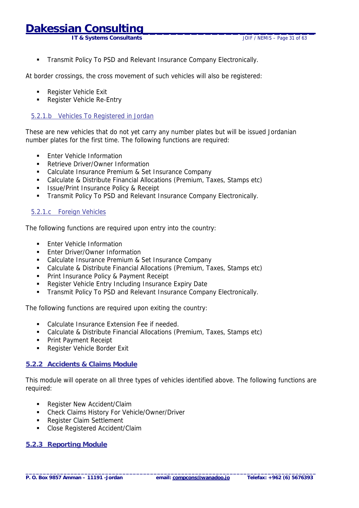**IT & Systems Consultants IT & Systems Consultants JOIF / NEMIS – Page 31 of 63** 

<span id="page-30-0"></span>**EXECT** Transmit Policy To PSD and Relevant Insurance Company Electronically.

At border crossings, the cross movement of such vehicles will also be registered:

- **Register Vehicle Exit**
- **E.** Register Vehicle Re-Entry

#### 5.2.1.b Vehicles To Registered in Jordan

These are new vehicles that do not yet carry any number plates but will be issued Jordanian number plates for the first time. The following functions are required:

- **Enter Vehicle Information**
- **E.** Retrieve Driver/Owner Information
- ! Calculate Insurance Premium & Set Insurance Company
- ! Calculate & Distribute Financial Allocations (Premium, Taxes, Stamps etc)
- **EXECUTE:** Issue/Print Insurance Policy & Receipt
- **EXECT:** Transmit Policy To PSD and Relevant Insurance Company Electronically.

#### 5.2.1.c Foreign Vehicles

The following functions are required upon entry into the country:

- **Enter Vehicle Information**
- **Enter Driver/Owner Information**
- ! Calculate Insurance Premium & Set Insurance Company
- ! Calculate & Distribute Financial Allocations (Premium, Taxes, Stamps etc)
- **Print Insurance Policy & Payment Receipt**
- ! Register Vehicle Entry Including Insurance Expiry Date
- **EXECT:** Transmit Policy To PSD and Relevant Insurance Company Electronically.

The following functions are required upon exiting the country:

- **EXECUCER IN CALCULATE:** Calculate Insurance Extension Fee if needed.
- ! Calculate & Distribute Financial Allocations (Premium, Taxes, Stamps etc)
- **Print Payment Receipt**
- **Register Vehicle Border Exit**

#### **5.2.2 Accidents & Claims Module**

This module will operate on all three types of vehicles identified above. The following functions are required:

- Register New Accident/Claim
- ! Check Claims History For Vehicle/Owner/Driver
- **Register Claim Settlement**
- ! Close Registered Accident/Claim

#### **5.2.3 Reporting Module**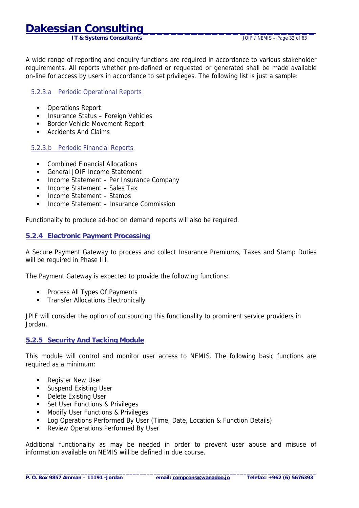### <span id="page-31-0"></span>**Dakessian Consulti**

**IT & Systems Consultants IT & Systems Consultants JOIF / NEMIS – Page 32 of 63** 

A wide range of reporting and enquiry functions are required in accordance to various stakeholder requirements. All reports whether pre-defined or requested or generated shall be made available on-line for access by users in accordance to set privileges. The following list is just a sample:

#### 5.2.3.a Periodic Operational Reports

- **•** Operations Report
- **.** Insurance Status Foreign Vehicles
- ! Border Vehicle Movement Report
- ! Accidents And Claims

#### 5.2.3.b Periodic Financial Reports

- ! Combined Financial Allocations
- ! General JOIF Income Statement
- **.** Income Statement Per Insurance Company
- ! Income Statement Sales Tax
- ! Income Statement Stamps
- ! Income Statement Insurance Commission

Functionality to produce ad-hoc on demand reports will also be required.

#### **5.2.4 Electronic Payment Processing**

A Secure Payment Gateway to process and collect Insurance Premiums, Taxes and Stamp Duties will be required in Phase III.

The Payment Gateway is expected to provide the following functions:

- **Process All Types Of Payments**
- **Transfer Allocations Electronically**

JPIF will consider the option of outsourcing this functionality to prominent service providers in Jordan.

#### **5.2.5 Security And Tacking Module**

This module will control and monitor user access to NEMIS. The following basic functions are required as a minimum:

- **Register New User**
- **Existing User**
- **•** Delete Existing User
- **EXECUTE:** Set User Functions & Privileges
- **.** Modify User Functions & Privileges
- Log Operations Performed By User (Time, Date, Location & Function Details)
- **EXECTED PERIOR I** Review Operations Performed By User

Additional functionality as may be needed in order to prevent user abuse and misuse of information available on NEMIS will be defined in due course.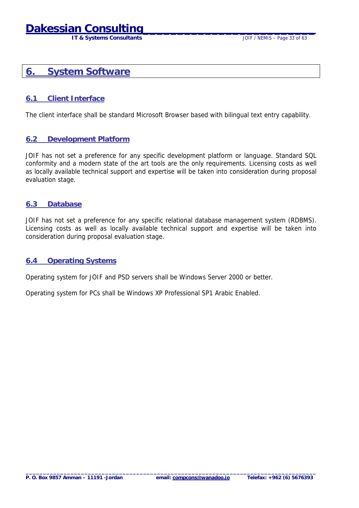## <span id="page-32-0"></span>**Dakessian Consi**

 **IT & Systems Consultants** JOIF / NEMIS – Page 33 of 63

### **6. System Software**

#### **6.1 Client Interface**

The client interface shall be standard Microsoft Browser based with bilingual text entry capability.

#### **6.2 Development Platform**

JOIF has not set a preference for any specific development platform or language. Standard SQL conformity and a modern state of the art tools are the only requirements. Licensing costs as well as locally available technical support and expertise will be taken into consideration during proposal evaluation stage.

#### **6.3 Database**

JOIF has not set a preference for any specific relational database management system (RDBMS). Licensing costs as well as locally available technical support and expertise will be taken into consideration during proposal evaluation stage.

#### **6.4 Operating Systems**

Operating system for JOIF and PSD servers shall be Windows Server 2000 or better.

Operating system for PCs shall be Windows XP Professional SP1 Arabic Enabled.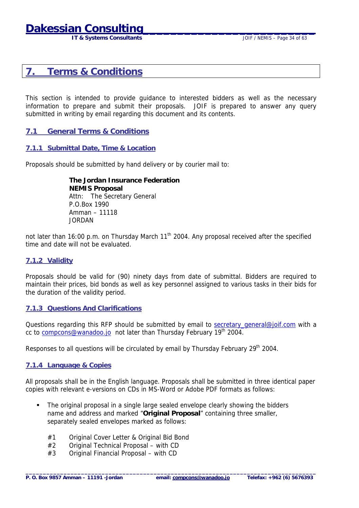**IT & Systems Consultants IT & Systems Consultants JOIF / NEMIS – Page 34 of 63** 

### <span id="page-33-0"></span>**7. Terms & Conditions**

This section is intended to provide guidance to interested bidders as well as the necessary information to prepare and submit their proposals. JOIF is prepared to answer any query submitted in writing by email regarding this document and its contents.

#### **7.1 General Terms & Conditions**

#### **7.1.1 Submittal Date, Time & Location**

Proposals should be submitted by hand delivery or by courier mail to:

 **The Jordan Insurance Federation NEMIS Proposal**  Attn: The Secretary General P.O.Box 1990 Amman – 11118 JORDAN

not later than 16:00 p.m. on Thursday March 11<sup>th</sup> 2004. Any proposal received after the specified time and date will not be evaluated.

#### **7.1.2 Validity**

Proposals should be valid for (90) ninety days from date of submittal. Bidders are required to maintain their prices, bid bonds as well as key personnel assigned to various tasks in their bids for the duration of the validity period.

#### **7.1.3 Questions And Clarifications**

Questions regarding this RFP should be submitted by email to secretary general@joif.com with a cc to [compcons@wanadoo.jo](mailto:compcons@wanadoo.jo) not later than Thursday February 19<sup>th</sup> 2004.

Responses to all questions will be circulated by email by Thursday February 29<sup>th</sup> 2004.

#### **7.1.4 Language & Copies**

All proposals shall be in the English language. Proposals shall be submitted in three identical paper copies with relevant e-versions on CDs in MS-Word or Adobe PDF formats as follows:

**\_\_\_\_\_\_\_\_\_\_\_\_\_\_\_\_\_\_\_\_\_\_\_\_\_\_\_\_\_\_\_\_\_\_\_\_\_\_\_\_\_\_\_\_\_\_\_\_\_\_\_\_\_\_\_\_\_\_\_\_\_\_\_\_\_\_\_\_\_\_\_\_\_\_\_\_\_\_\_\_\_\_\_\_** 

- The original proposal in a single large sealed envelope clearly showing the bidders name and address and marked "**Original Proposal**" containing three smaller, separately sealed envelopes marked as follows:
	- #1 Original Cover Letter & Original Bid Bond
	- #2 Original Technical Proposal with CD
	- #3 Original Financial Proposal with CD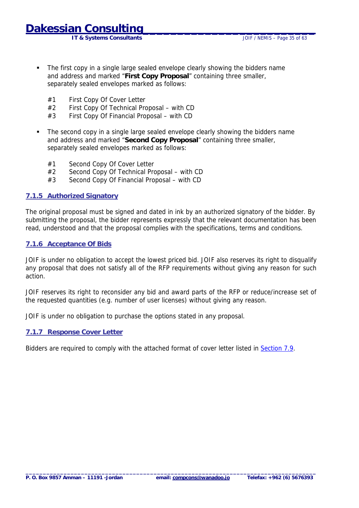**IT & Systems Consultants** JOIF / NEMIS – Page 35 of 63

- <span id="page-34-0"></span>! The first copy in a single large sealed envelope clearly showing the bidders name and address and marked "**First Copy Proposal**" containing three smaller, separately sealed envelopes marked as follows:
	- #1 First Copy Of Cover Letter
	- #2 First Copy Of Technical Proposal with CD
	- #3 First Copy Of Financial Proposal with CD
- ! The second copy in a single large sealed envelope clearly showing the bidders name and address and marked "**Second Copy Proposal**" containing three smaller, separately sealed envelopes marked as follows:
	- #1 Second Copy Of Cover Letter
	- #2 Second Copy Of Technical Proposal with CD
	- #3 Second Copy Of Financial Proposal with CD

#### **7.1.5 Authorized Signatory**

The original proposal must be signed and dated in ink by an authorized signatory of the bidder. By submitting the proposal, the bidder represents expressly that the relevant documentation has been read, understood and that the proposal complies with the specifications, terms and conditions.

#### **7.1.6 Acceptance Of Bids**

JOIF is under no obligation to accept the lowest priced bid. JOIF also reserves its right to disqualify any proposal that does not satisfy all of the RFP requirements without giving any reason for such action.

JOIF reserves its right to reconsider any bid and award parts of the RFP or reduce/increase set of the requested quantities (e.g. number of user licenses) without giving any reason.

JOIF is under no obligation to purchase the options stated in any proposal.

#### **7.1.7 Response Cover Letter**

Bidders are required to comply with the attached format of cover letter listed in [Section 7.9.](#page-45-0)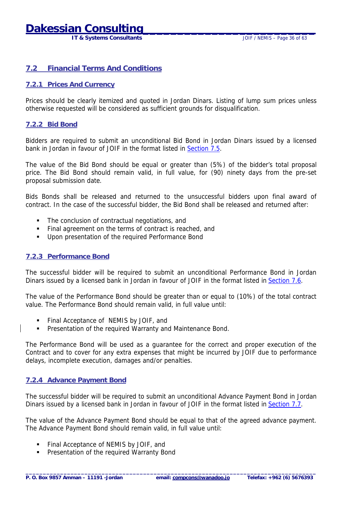## <span id="page-35-0"></span>**Dakessian Consulti**

**IT & Systems Consultants IT & Systems Consultants JOIF / NEMIS – Page 36 of 63** 

#### **7.2 Financial Terms And Conditions**

#### **7.2.1 Prices And Currency**

Prices should be clearly itemized and quoted in Jordan Dinars. Listing of lump sum prices unless otherwise requested will be considered as sufficient grounds for disqualification.

#### **7.2.2 Bid Bond**

Bidders are required to submit an unconditional Bid Bond in Jordan Dinars issued by a licensed bank in Jordan in favour of JOIF in the format listed in [Section 7.5.](#page-41-0)

The value of the Bid Bond should be equal or greater than (5%) of the bidder's total proposal price. The Bid Bond should remain valid, in full value, for (90) ninety days from the pre-set proposal submission date.

Bids Bonds shall be released and returned to the unsuccessful bidders upon final award of contract. In the case of the successful bidder, the Bid Bond shall be released and returned after:

- ! The conclusion of contractual negotiations, and
- ! Final agreement on the terms of contract is reached, and
- **.** Upon presentation of the required Performance Bond

#### **7.2.3 Performance Bond**

The successful bidder will be required to submit an unconditional Performance Bond in Jordan Dinars issued by a licensed bank in Jordan in favour of JOIF in the format listed in [Section 7.6.](#page-42-0)

The value of the Performance Bond should be greater than or equal to (10%) of the total contract value. The Performance Bond should remain valid, in full value until:

- ! Final Acceptance of NEMIS by JOIF, and
- Presentation of the required Warranty and Maintenance Bond.

The Performance Bond will be used as a guarantee for the correct and proper execution of the Contract and to cover for any extra expenses that might be incurred by JOIF due to performance delays, incomplete execution, damages and/or penalties.

#### **7.2.4 Advance Payment Bond**

The successful bidder will be required to submit an unconditional Advance Payment Bond in Jordan Dinars issued by a licensed bank in Jordan in favour of JOIF in the format listed in [Section 7.7.](#page-43-0)

The value of the Advance Payment Bond should be equal to that of the agreed advance payment. The Advance Payment Bond should remain valid, in full value until:

- ! Final Acceptance of NEMIS by JOIF, and
- Presentation of the required Warranty Bond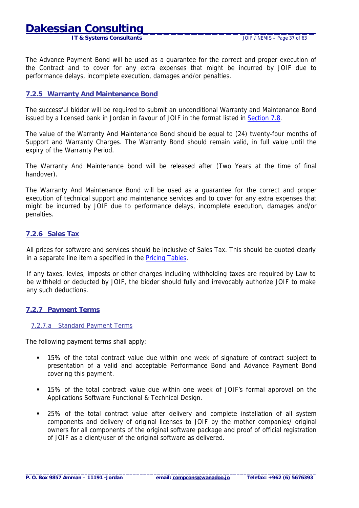<span id="page-36-0"></span>**Dakessian Consu** 

 **IT & Systems Consultants** JOIF / NEMIS – Page 37 of 63

The Advance Payment Bond will be used as a guarantee for the correct and proper execution of the Contract and to cover for any extra expenses that might be incurred by JOIF due to performance delays, incomplete execution, damages and/or penalties.

#### **7.2.5 Warranty And Maintenance Bond**

The successful bidder will be required to submit an unconditional Warranty and Maintenance Bond issued by a licensed bank in Jordan in favour of JOIF in the format listed in [Section 7.8.](#page-44-0)

The value of the Warranty And Maintenance Bond should be equal to (24) twenty-four months of Support and Warranty Charges. The Warranty Bond should remain valid, in full value until the expiry of the Warranty Period.

The Warranty And Maintenance bond will be released after (Two Years at the time of final handover).

The Warranty And Maintenance Bond will be used as a guarantee for the correct and proper execution of technical support and maintenance services and to cover for any extra expenses that might be incurred by JOIF due to performance delays, incomplete execution, damages and/or penalties.

#### **7.2.6 Sales Tax**

All prices for software and services should be inclusive of Sales Tax. This should be quoted clearly in a separate line item a specified in the [Pricing Tables.](#page-46-0)

If any taxes, levies, imposts or other charges including withholding taxes are required by Law to be withheld or deducted by JOIF, the bidder should fully and irrevocably authorize JOIF to make any such deductions.

#### **7.2.7 Payment Terms**

#### 7.2.7.a Standard Payment Terms

The following payment terms shall apply:

- ! 15% of the total contract value due within one week of signature of contract subject to presentation of a valid and acceptable Performance Bond and Advance Payment Bond covering this payment.
- ! 15% of the total contract value due within one week of JOIF's formal approval on the Applications Software Functional & Technical Design.
- ! 25% of the total contract value after delivery and complete installation of all system components and delivery of original licenses to JOIF by the mother companies/ original owners for all components of the original software package and proof of official registration of JOIF as a client/user of the original software as delivered.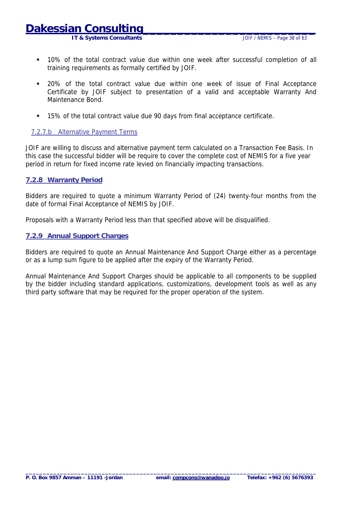## <span id="page-37-0"></span>**Dakessian**

**IT & Systems Consultants IT & Systems Consultants JOIF / NEMIS – Page 38 of 63** 

- ! 10% of the total contract value due within one week after successful completion of all training requirements as formally certified by JOIF.
- ! 20% of the total contract value due within one week of issue of Final Acceptance Certificate by JOIF subject to presentation of a valid and acceptable Warranty And Maintenance Bond.
- ! 15% of the total contract value due 90 days from final acceptance certificate.

#### 7.2.7.b Alternative Payment Terms

JOIF are willing to discuss and alternative payment term calculated on a Transaction Fee Basis. In this case the successful bidder will be require to cover the complete cost of NEMIS for a five year period in return for fixed income rate levied on financially impacting transactions.

#### **7.2.8 Warranty Period**

Bidders are required to quote a minimum Warranty Period of (24) twenty-four months from the date of formal Final Acceptance of NEMIS by JOIF.

Proposals with a Warranty Period less than that specified above will be disqualified.

#### **7.2.9 Annual Support Charges**

Bidders are required to quote an Annual Maintenance And Support Charge either as a percentage or as a lump sum figure to be applied after the expiry of the Warranty Period.

Annual Maintenance And Support Charges should be applicable to all components to be supplied by the bidder including standard applications, customizations, development tools as well as any third party software that may be required for the proper operation of the system.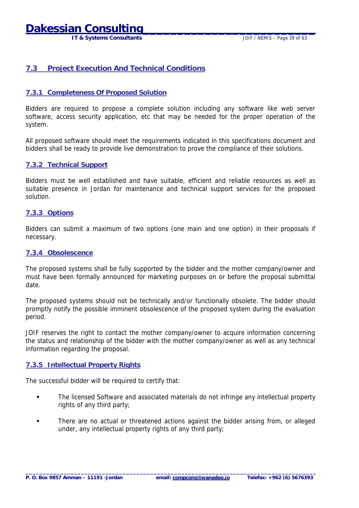### <span id="page-38-0"></span>**Dakessian Consul**

 **IT & Systems Consultants** JOIF / NEMIS – Page 39 of 63

#### **7.3 Project Execution And Technical Conditions**

#### **7.3.1 Completeness Of Proposed Solution**

Bidders are required to propose a complete solution including any software like web server software, access security application, etc that may be needed for the proper operation of the system.

All proposed software should meet the requirements indicated in this specifications document and bidders shall be ready to provide live demonstration to prove the compliance of their solutions.

#### **7.3.2 Technical Support**

Bidders must be well established and have suitable, efficient and reliable resources as well as suitable presence in Jordan for maintenance and technical support services for the proposed solution.

#### **7.3.3 Options**

Bidders can submit a maximum of two options (one main and one option) in their proposals if necessary.

#### **7.3.4 Obsolescence**

The proposed systems shall be fully supported by the bidder and the mother company/owner and must have been formally announced for marketing purposes on or before the proposal submittal date.

The proposed systems should not be technically and/or functionally obsolete. The bidder should promptly notify the possible imminent obsolescence of the proposed system during the evaluation period.

JOIF reserves the right to contact the mother company/owner to acquire information concerning the status and relationship of the bidder with the mother company/owner as well as any technical information regarding the proposal.

#### **7.3.5 Intellectual Property Rights**

The successful bidder will be required to certify that:

- ! The licensed Software and associated materials do not infringe any intellectual property rights of any third party;
- There are no actual or threatened actions against the bidder arising from, or alleged under, any intellectual property rights of any third party;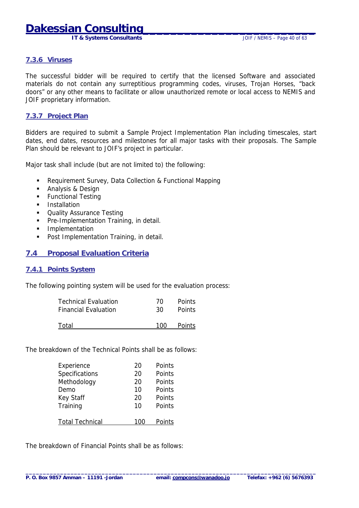**IT & Systems Consultants** JOIF / NEMIS – Page 40 of 63

#### <span id="page-39-0"></span>**7.3.6 Viruses**

The successful bidder will be required to certify that the licensed Software and associated materials do not contain any surreptitious programming codes, viruses, Trojan Horses, "back doors" or any other means to facilitate or allow unauthorized remote or local access to NEMIS and JOIF proprietary information.

#### **7.3.7 Project Plan**

Bidders are required to submit a Sample Project Implementation Plan including timescales, start dates, end dates, resources and milestones for all major tasks with their proposals. The Sample Plan should be relevant to JOIF's project in particular.

Major task shall include (but are not limited to) the following:

- ! Requirement Survey, Data Collection & Functional Mapping
- **-** Analysis & Design
- **EXECUTE:** Functional Testing
- **I** Installation
- **Quality Assurance Testing**
- **Pre-Implementation Training, in detail.**
- **·** Implementation
- **Post Implementation Training, in detail.**

#### **7.4 Proposal Evaluation Criteria**

#### **7.4.1 Points System**

The following pointing system will be used for the evaluation process:

| Technical Evaluation | 70  | Points        |
|----------------------|-----|---------------|
| Financial Evaluation | -30 | <b>Points</b> |
| Total                | 100 | Points        |

The breakdown of the Technical Points shall be as follows:

| Experience             | 20  | Points |
|------------------------|-----|--------|
| <b>Specifications</b>  | 20  | Points |
| Methodology            | 20  | Points |
| Demo                   | 10  | Points |
| Key Staff              | 20  | Points |
| Training               | 10  | Points |
|                        |     |        |
| <b>Total Technical</b> | 10O | Points |

The breakdown of Financial Points shall be as follows: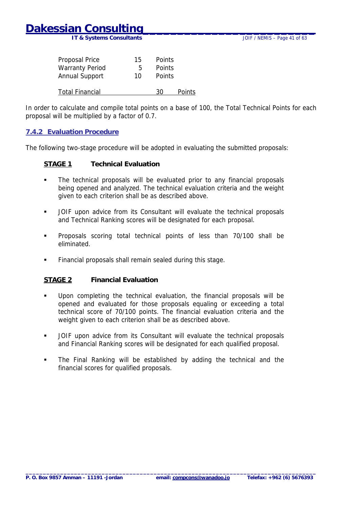<span id="page-40-0"></span>**IT & Systems Consultants JOIF / NEMIS – Page 41 of 63** 

| Proposal Price         | 15 | Points |        |
|------------------------|----|--------|--------|
| <b>Warranty Period</b> | 5  | Points |        |
| Annual Support         | 10 | Points |        |
| Total Financial        |    | 30     | Points |

In order to calculate and compile total points on a base of 100, the Total Technical Points for each proposal will be multiplied by a factor of 0.7.

#### **7.4.2 Evaluation Procedure**

The following two-stage procedure will be adopted in evaluating the submitted proposals:

#### **STAGE 1 Technical Evaluation**

- ! The technical proposals will be evaluated prior to any financial proposals being opened and analyzed. The technical evaluation criteria and the weight given to each criterion shall be as described above.
- ! JOIF upon advice from its Consultant will evaluate the technical proposals and Technical Ranking scores will be designated for each proposal.
- ! Proposals scoring total technical points of less than 70/100 shall be eliminated.
- ! Financial proposals shall remain sealed during this stage.

#### **STAGE 2 Financial Evaluation**

- ! Upon completing the technical evaluation, the financial proposals will be opened and evaluated for those proposals equaling or exceeding a total technical score of 70/100 points. The financial evaluation criteria and the weight given to each criterion shall be as described above.
- ! JOIF upon advice from its Consultant will evaluate the technical proposals and Financial Ranking scores will be designated for each qualified proposal.
- ! The Final Ranking will be established by adding the technical and the financial scores for qualified proposals.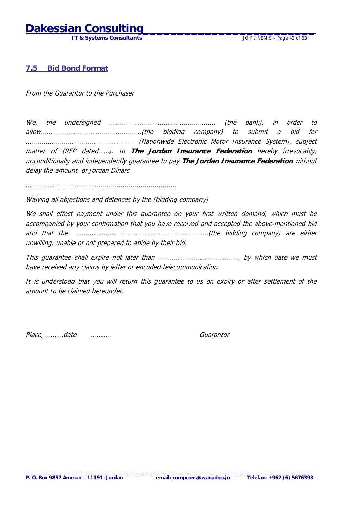## <span id="page-41-0"></span>**Dakessian Consult**

 **IT & Systems Consultants** JOIF / NEMIS – Page 42 of 63

#### **7.5 Bid Bond Format**

From the Guarantor to the Purchaser

We, the undersigned ..................................................... (the bank), in order to allow..................................................(the bidding company) to submit a bid for ...................................................... (Nationwide Electronic Motor Insurance System), subject matter of (RFP dated……), to **The Jordan Insurance Federation** hereby irrevocably, unconditionally and independently guarantee to pay **The Jordan Insurance Federation** without delay the amount of Jordan Dinars

...........................................................................

Waiving all objections and defences by the (bidding company)

We shall effect payment under this guarantee on your first written demand, which must be accompanied by your confirmation that you have received and accepted the above-mentioned bid and that the .................................................................(the bidding company) are either unwilling, unable or not prepared to abide by their bid.

This guarantee shall expire not later than ........................................, by which date we must have received any claims by letter or encoded telecommunication.

It is understood that you will return this guarantee to us on expiry or after settlement of the amount to be claimed hereunder.

Place, ……….date ……….. Guarantor

**\_\_\_\_\_\_\_\_\_\_\_\_\_\_\_\_\_\_\_\_\_\_\_\_\_\_\_\_\_\_\_\_\_\_\_\_\_\_\_\_\_\_\_\_\_\_\_\_\_\_\_\_\_\_\_\_\_\_\_\_\_\_\_\_\_\_\_\_\_\_\_\_\_\_\_\_\_\_\_\_\_\_\_\_**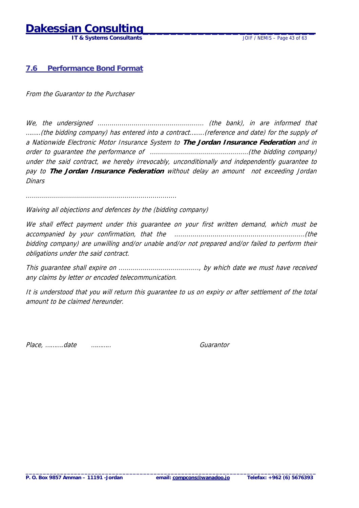## <span id="page-42-0"></span>**Dakessian Consu**

 **IT & Systems Consultants** JOIF / NEMIS – Page 43 of 63

#### **7.6 Performance Bond Format**

From the Guarantor to the Purchaser

We, the undersigned ..................................................... (the bank), in are informed that ……..(the bidding company) has entered into a contract……..(reference and date) for the supply of a Nationwide Electronic Motor Insurance System to **The Jordan Insurance Federation** and in order to guarantee the performance of .................................................(the bidding company) under the said contract, we hereby irrevocably, unconditionally and independently guarantee to pay to **The Jordan Insurance Federation** without delay an amount not exceeding Jordan **Dinars** 

...........................................................................

Waiving all objections and defences by the (bidding company)

We shall effect payment under this quarantee on your first written demand, which must be accompanied by your confirmation, that the .................................................................(the bidding company) are unwilling and/or unable and/or not prepared and/or failed to perform their obligations under the said contract.

This guarantee shall expire on ........................................, by which date we must have received any claims by letter or encoded telecommunication.

It is understood that you will return this guarantee to us on expiry or after settlement of the total amount to be claimed hereunder.

Place, ……….date ……….. Guarantor

**\_\_\_\_\_\_\_\_\_\_\_\_\_\_\_\_\_\_\_\_\_\_\_\_\_\_\_\_\_\_\_\_\_\_\_\_\_\_\_\_\_\_\_\_\_\_\_\_\_\_\_\_\_\_\_\_\_\_\_\_\_\_\_\_\_\_\_\_\_\_\_\_\_\_\_\_\_\_\_\_\_\_\_\_**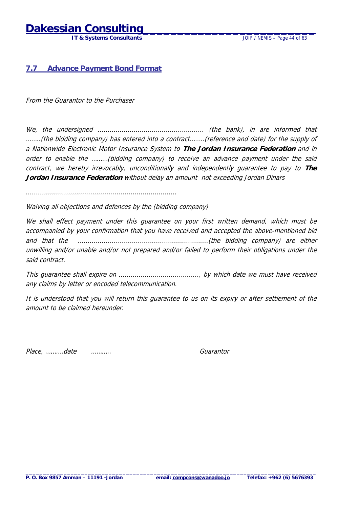## <span id="page-43-0"></span>**Dakessian Consul**

 **IT & Systems Consultants** JOIF / NEMIS – Page 44 of 63

#### **7.7 Advance Payment Bond Format**

From the Guarantor to the Purchaser

We, the undersigned ..................................................... (the bank), in are informed that ……..(the bidding company) has entered into a contract……..(reference and date) for the supply of a Nationwide Electronic Motor Insurance System to **The Jordan Insurance Federation** and in order to enable the ………(bidding company) to receive an advance payment under the said contract, we hereby irrevocably, unconditionally and independently guarantee to pay to **The Jordan Insurance Federation** without delay an amount not exceeding Jordan Dinars

...........................................................................

Waiving all objections and defences by the (bidding company)

We shall effect payment under this guarantee on your first written demand, which must be accompanied by your confirmation that you have received and accepted the above-mentioned bid and that the .................................................................(the bidding company) are either unwilling and/or unable and/or not prepared and/or failed to perform their obligations under the said contract.

This guarantee shall expire on ........................................, by which date we must have received any claims by letter or encoded telecommunication.

It is understood that you will return this guarantee to us on its expiry or after settlement of the amount to be claimed hereunder.

Place, ……….date ……….. Guarantor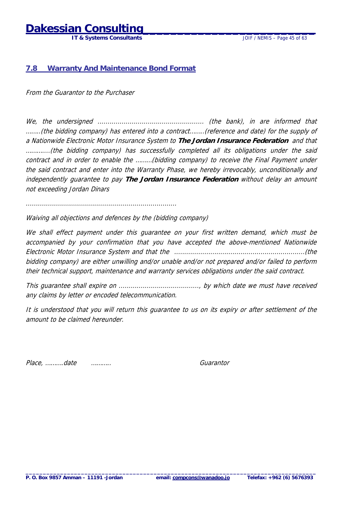### <span id="page-44-0"></span>**Dakessian Consul**

 **IT & Systems Consultants** JOIF / NEMIS – Page 45 of 63

#### **7.8 Warranty And Maintenance Bond Format**

From the Guarantor to the Purchaser

We, the undersigned ..................................................... (the bank), in are informed that ……..(the bidding company) has entered into a contract……..(reference and date) for the supply of a Nationwide Electronic Motor Insurance System to **The Jordan Insurance Federation** and that ………....(the bidding company) has successfully completed all its obligations under the said contract and in order to enable the ………(bidding company) to receive the Final Payment under the said contract and enter into the Warranty Phase, we hereby irrevocably, unconditionally and independently guarantee to pay **The Jordan Insurance Federation** without delay an amount not exceeding Jordan Dinars

...........................................................................

Waiving all objections and defences by the (bidding company)

We shall effect payment under this quarantee on your first written demand, which must be accompanied by your confirmation that you have accepted the above-mentioned Nationwide Electronic Motor Insurance System and that the .................................................................(the bidding company) are either unwilling and/or unable and/or not prepared and/or failed to perform their technical support, maintenance and warranty services obligations under the said contract.

This guarantee shall expire on ........................................, by which date we must have received any claims by letter or encoded telecommunication.

It is understood that you will return this guarantee to us on its expiry or after settlement of the amount to be claimed hereunder.

Place, ……….date ……….. Guarantor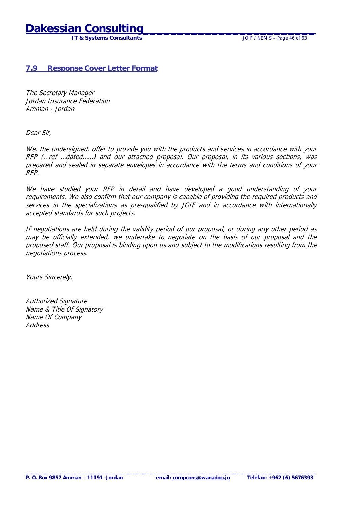## <span id="page-45-0"></span>**Dakessian Consi**

 **IT & Systems Consultants** JOIF / NEMIS – Page 46 of 63

#### **7.9 Response Cover Letter Format**

The Secretary Manager Jordan Insurance Federation Amman - Jordan

Dear Sir,

We, the undersigned, offer to provide you with the products and services in accordance with your RFP (…ref …dated……) and our attached proposal. Our proposal, in its various sections, was prepared and sealed in separate envelopes in accordance with the terms and conditions of your RFP.

We have studied your RFP in detail and have developed a good understanding of your requirements. We also confirm that our company is capable of providing the required products and services in the specializations as pre-qualified by JOIF and in accordance with internationally accepted standards for such projects.

If negotiations are held during the validity period of our proposal, or during any other period as may be officially extended, we undertake to negotiate on the basis of our proposal and the proposed staff. Our proposal is binding upon us and subject to the modifications resulting from the negotiations process.

Yours Sincerely,

Authorized Signature Name & Title Of Signatory Name Of Company **Address**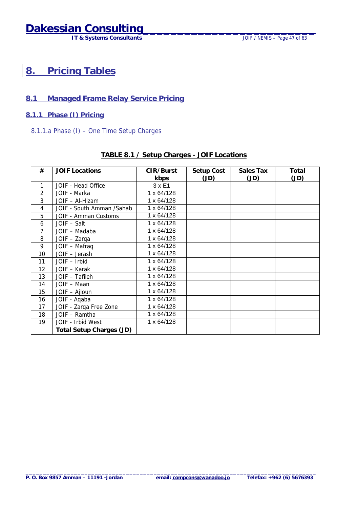## <span id="page-46-0"></span>**Dakessian Consulting**<br>IT & Systems Consultants JOIF / NEMIS - Page 47 of 63

**IT & Systems Consultants** 

### **8. Pricing Tables**

#### **8.1 Managed Frame Relay Service Pricing**

**8.1.1 Phase (I) Pricing**

#### 8.1.1.a Phase (I) – One Time Setup Charges

#### **TABLE 8.1 / Setup Charges - JOIF Locations**

| #              | <b>JOIF Locations</b>           | CIR/Burst     | Setup Cost | Sales Tax | Total |
|----------------|---------------------------------|---------------|------------|-----------|-------|
|                |                                 | kbps          | (JD)       | (JD)      | (JD)  |
| 1              | JOIF - Head Office              | $3 \times E1$ |            |           |       |
| $\overline{2}$ | JOIF - Marka                    | 1 x 64/128    |            |           |       |
| 3              | JOIF - Al-Hizam                 | 1 x 64/128    |            |           |       |
| 4              | JOIF - South Amman /Sahab       | 1 x 64/128    |            |           |       |
| 5              | JOIF - Amman Customs            | 1 x 64/128    |            |           |       |
| 6              | JOIF - Salt                     | 1 x 64/128    |            |           |       |
| 7              | JOIF - Madaba                   | 1 x 64/128    |            |           |       |
| 8              | JOIF - Zarqa                    | 1 x 64/128    |            |           |       |
| 9              | JOIF - Mafraq                   | 1 x 64/128    |            |           |       |
| 10             | JOIF - Jerash                   | 1 x 64/128    |            |           |       |
| 11             | JOIF - Irbid                    | 1 x 64/128    |            |           |       |
| 12             | JOIF - Karak                    | 1 x 64/128    |            |           |       |
| 13             | JOIF - Tafileh                  | 1 x 64/128    |            |           |       |
| 14             | JOIF - Maan                     | 1 x 64/128    |            |           |       |
| 15             | JOIF - Ajloun                   | 1 x 64/128    |            |           |       |
| 16             | JOIF - Aqaba                    | 1 x 64/128    |            |           |       |
| 17             | JOIF - Zarga Free Zone          | 1 x 64/128    |            |           |       |
| 18             | JOIF - Ramtha                   | 1 x 64/128    |            |           |       |
| 19             | JOIF - Irbid West               | 1 x 64/128    |            |           |       |
|                | <b>Total Setup Charges (JD)</b> |               |            |           |       |

**\_\_\_\_\_\_\_\_\_\_\_\_\_\_\_\_\_\_\_\_\_\_\_\_\_\_\_\_\_\_\_\_\_\_\_\_\_\_\_\_\_\_\_\_\_\_\_\_\_\_\_\_\_\_\_\_\_\_\_\_\_\_\_\_\_\_\_\_\_\_\_\_\_\_\_\_\_\_\_\_\_\_\_\_**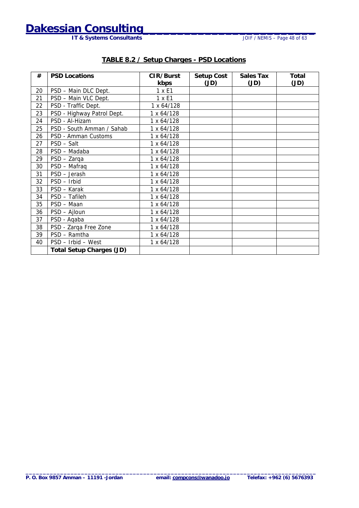**IT & Systems Consultants** 

| #  | <b>PSD Locations</b>            | CIR/Burst  | Setup Cost | <b>Sales Tax</b> | Total |
|----|---------------------------------|------------|------------|------------------|-------|
|    |                                 | kbps       | (JD)       | (JD)             | (JD)  |
| 20 | PSD - Main DLC Dept.            | 1 x E1     |            |                  |       |
| 21 | PSD - Main VLC Dept.            | 1 x E1     |            |                  |       |
| 22 | PSD - Traffic Dept.             | 1 x 64/128 |            |                  |       |
| 23 | PSD - Highway Patrol Dept.      | 1 x 64/128 |            |                  |       |
| 24 | PSD - Al-Hizam                  | 1 x 64/128 |            |                  |       |
| 25 | PSD - South Amman / Sahab       | 1 x 64/128 |            |                  |       |
| 26 | PSD - Amman Customs             | 1 x 64/128 |            |                  |       |
| 27 | PSD - Salt                      | 1 x 64/128 |            |                  |       |
| 28 | PSD - Madaba                    | 1 x 64/128 |            |                  |       |
| 29 | PSD - Zarqa                     | 1 x 64/128 |            |                  |       |
| 30 | PSD - Mafraq                    | 1 x 64/128 |            |                  |       |
| 31 | PSD - Jerash                    | 1 x 64/128 |            |                  |       |
| 32 | PSD - Irbid                     | 1 x 64/128 |            |                  |       |
| 33 | PSD - Karak                     | 1 x 64/128 |            |                  |       |
| 34 | PSD - Tafileh                   | 1 x 64/128 |            |                  |       |
| 35 | PSD - Maan                      | 1 x 64/128 |            |                  |       |
| 36 | PSD - Ajloun                    | 1 x 64/128 |            |                  |       |
| 37 | PSD - Aqaba                     | 1 x 64/128 |            |                  |       |
| 38 | PSD - Zarqa Free Zone           | 1 x 64/128 |            |                  |       |
| 39 | PSD - Ramtha                    | 1 x 64/128 |            |                  |       |
| 40 | PSD - Irbid - West              | 1 x 64/128 |            |                  |       |
|    | <b>Total Setup Charges (JD)</b> |            |            |                  |       |

#### **TABLE 8.2 / Setup Charges - PSD Locations**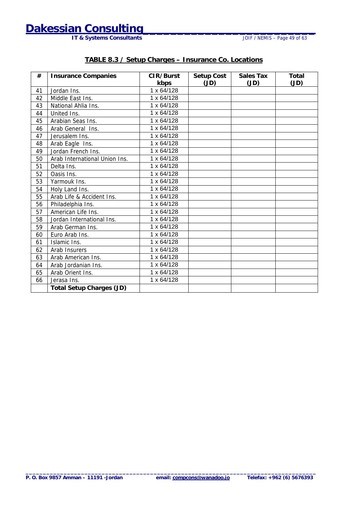**IT & Systems Consultants** 

#### **TABLE 8.3 / Setup Charges – Insurance Co. Locations**

| #  | <b>Insurance Companies</b>      | CIR/Burst         | Setup Cost | <b>Sales Tax</b> | <b>Total</b> |
|----|---------------------------------|-------------------|------------|------------------|--------------|
|    |                                 | kbps              | (JD)       | (JD)             | (JD)         |
| 41 | Jordan Ins.                     | 1 x 64/128        |            |                  |              |
| 42 | Middle East Ins.                | 1 x 64/128        |            |                  |              |
| 43 | National Ahlia Ins.             | $1 \times 64/128$ |            |                  |              |
| 44 | United Ins.                     | 1 x 64/128        |            |                  |              |
| 45 | Arabian Seas Ins.               | 1 x 64/128        |            |                  |              |
| 46 | Arab General Ins.               | $1 \times 64/128$ |            |                  |              |
| 47 | Jerusalem Ins.                  | 1 x 64/128        |            |                  |              |
| 48 | Arab Eagle Ins.                 | 1 x 64/128        |            |                  |              |
| 49 | Jordan French Ins.              | 1 x 64/128        |            |                  |              |
| 50 | Arab International Union Ins.   | 1 x 64/128        |            |                  |              |
| 51 | Delta Ins.                      | 1 x 64/128        |            |                  |              |
| 52 | Oasis Ins.                      | $1 \times 64/128$ |            |                  |              |
| 53 | Yarmouk Ins.                    | 1 x 64/128        |            |                  |              |
| 54 | Holy Land Ins.                  | 1 x 64/128        |            |                  |              |
| 55 | Arab Life & Accident Ins.       | 1 x 64/128        |            |                  |              |
| 56 | Philadelphia Ins.               | 1 x 64/128        |            |                  |              |
| 57 | American Life Ins.              | 1 x 64/128        |            |                  |              |
| 58 | Jordan International Ins.       | 1 x 64/128        |            |                  |              |
| 59 | Arab German Ins.                | 1 x 64/128        |            |                  |              |
| 60 | Euro Arab Ins.                  | 1 x 64/128        |            |                  |              |
| 61 | Islamic Ins.                    | $1 \times 64/128$ |            |                  |              |
| 62 | Arab Insurers                   | 1 x 64/128        |            |                  |              |
| 63 | Arab American Ins.              | 1 x 64/128        |            |                  |              |
| 64 | Arab Jordanian Ins.             | 1 x 64/128        |            |                  |              |
| 65 | Arab Orient Ins.                | 1 x 64/128        |            |                  |              |
| 66 | Jerasa Ins.                     | 1 x 64/128        |            |                  |              |
|    | <b>Total Setup Charges (JD)</b> |                   |            |                  |              |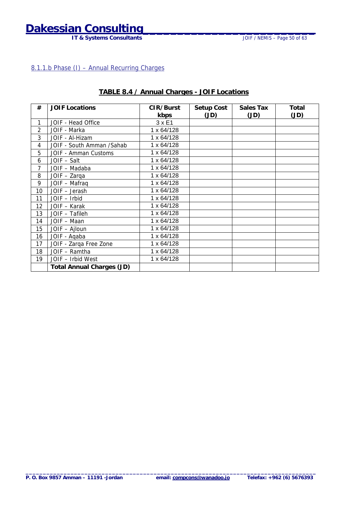## <span id="page-49-0"></span>**Dakessian Consulting**<br>IT & Systems Consultants JOIF / NEMIS - Page 50 of 63

**IT & Systems Consultants** 

#### 8.1.1.b Phase (I) – Annual Recurring Charges

| #  | <b>JOIF Locations</b>            | CIR/Burst     | Setup Cost | <b>Sales Tax</b> | Total |
|----|----------------------------------|---------------|------------|------------------|-------|
|    |                                  | kbps          | (JD)       | (JD)             | (JD)  |
| 1  | JOIF - Head Office               | $3 \times E1$ |            |                  |       |
| 2  | JOIF - Marka                     | 1 x 64/128    |            |                  |       |
| 3  | JOIF - Al-Hizam                  | 1 x 64/128    |            |                  |       |
| 4  | JOIF - South Amman / Sahab       | 1 x 64/128    |            |                  |       |
| 5  | JOIF - Amman Customs             | 1 x 64/128    |            |                  |       |
| 6  | JOIF - Salt                      | 1 x 64/128    |            |                  |       |
| 7  | JOIF - Madaba                    | 1 x 64/128    |            |                  |       |
| 8  | JOIF - Zarga                     | 1 x 64/128    |            |                  |       |
| 9  | JOIF - Mafraq                    | 1 x 64/128    |            |                  |       |
| 10 | JOIF - Jerash                    | 1 x 64/128    |            |                  |       |
| 11 | JOIF - Irbid                     | 1 x 64/128    |            |                  |       |
| 12 | JOIF - Karak                     | 1 x 64/128    |            |                  |       |
| 13 | JOIF - Tafileh                   | 1 x 64/128    |            |                  |       |
| 14 | JOIF - Maan                      | 1 x 64/128    |            |                  |       |
| 15 | JOIF - Ajloun                    | 1 x 64/128    |            |                  |       |
| 16 | JOIF - Aqaba                     | 1 x 64/128    |            |                  |       |
| 17 | JOIF - Zarqa Free Zone           | 1 x 64/128    |            |                  |       |
| 18 | JOIF - Ramtha                    | 1 x 64/128    |            |                  |       |
| 19 | JOIF - Irbid West                | 1 x 64/128    |            |                  |       |
|    | <b>Total Annual Charges (JD)</b> |               |            |                  |       |

#### **TABLE 8.4 / Annual Charges - JOIF Locations**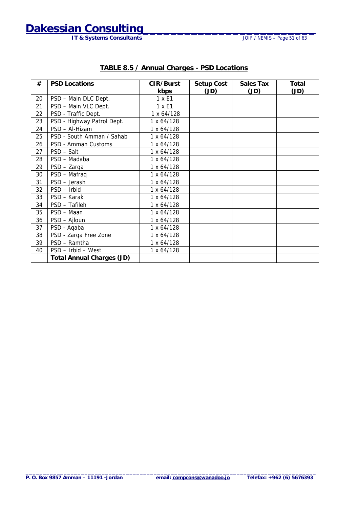## **Dakessian Consulting**<br>IT & Systems Consultants JOIF / NEMIS - Page 51 of 63

**IT & Systems Consultants** 

| #<br><b>PSD Locations</b>        | CIR/Burst  | Setup Cost | Sales Tax | Total |
|----------------------------------|------------|------------|-----------|-------|
|                                  | kbps       | (JD)       | (JD)      | (JD)  |
| PSD - Main DLC Dept.<br>20       | 1 x E1     |            |           |       |
| 21<br>PSD - Main VLC Dept.       | 1 x E1     |            |           |       |
| 22<br>PSD - Traffic Dept.        | 1 x 64/128 |            |           |       |
| 23<br>PSD - Highway Patrol Dept. | 1 x 64/128 |            |           |       |
| 24<br>PSD - Al-Hizam             | 1 x 64/128 |            |           |       |
| 25<br>PSD - South Amman / Sahab  | 1 x 64/128 |            |           |       |
| 26<br>PSD - Amman Customs        | 1 x 64/128 |            |           |       |
| 27<br>PSD - Salt                 | 1 x 64/128 |            |           |       |
| 28<br>PSD - Madaba               | 1 x 64/128 |            |           |       |
| 29<br>PSD - Zarga                | 1 x 64/128 |            |           |       |
| 30<br>PSD - Mafraq               | 1 x 64/128 |            |           |       |
| PSD - Jerash<br>31               | 1 x 64/128 |            |           |       |
| 32<br>PSD - Irbid                | 1 x 64/128 |            |           |       |
| 33<br>PSD - Karak                | 1 x 64/128 |            |           |       |
| 34<br>PSD - Tafileh              | 1 x 64/128 |            |           |       |
| 35<br>PSD - Maan                 | 1 x 64/128 |            |           |       |
| 36<br>PSD - Ajloun               | 1 x 64/128 |            |           |       |
| 37<br>PSD - Aqaba                | 1 x 64/128 |            |           |       |
| 38<br>PSD - Zarqa Free Zone      | 1 x 64/128 |            |           |       |
| PSD - Ramtha<br>39               | 1 x 64/128 |            |           |       |
| PSD - Irbid - West<br>40         | 1 x 64/128 |            |           |       |
| <b>Total Annual Charges (JD)</b> |            |            |           |       |

#### **TABLE 8.5 / Annual Charges - PSD Locations**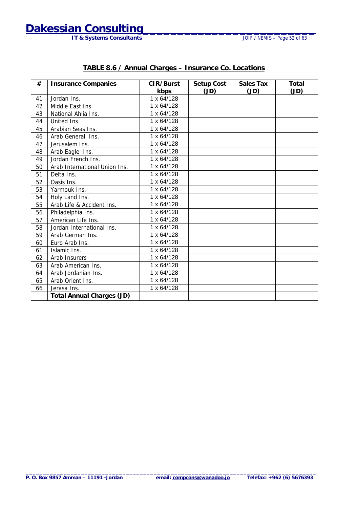## **Dakessian Consulting**<br>IT & Systems Consultants JOIF / NEMIS - Page 52 of 63

**IT & Systems Consultants** 

| #  | <b>Insurance Companies</b>       | CIR/Burst<br>kbps | Setup Cost<br>(JD) | <b>Sales Tax</b><br>(JD) | <b>Total</b><br>(JD) |
|----|----------------------------------|-------------------|--------------------|--------------------------|----------------------|
| 41 | Jordan Ins.                      | 1 x 64/128        |                    |                          |                      |
| 42 | Middle East Ins.                 | $1 \times 64/128$ |                    |                          |                      |
| 43 | National Ahlia Ins.              | 1 x 64/128        |                    |                          |                      |
| 44 | United Ins.                      | 1 x 64/128        |                    |                          |                      |
| 45 | Arabian Seas Ins.                | $1 \times 64/128$ |                    |                          |                      |
| 46 | Arab General Ins.                | 1 x 64/128        |                    |                          |                      |
| 47 | Jerusalem Ins.                   | 1 x 64/128        |                    |                          |                      |
| 48 | Arab Eagle Ins.                  | 1 x 64/128        |                    |                          |                      |
| 49 | Jordan French Ins.               | $1 \times 64/128$ |                    |                          |                      |
| 50 | Arab International Union Ins.    | 1 x 64/128        |                    |                          |                      |
| 51 | Delta Ins.                       | $1 \times 64/128$ |                    |                          |                      |
| 52 | Oasis Ins.                       | 1 x 64/128        |                    |                          |                      |
| 53 | Yarmouk Ins.                     | 1 x 64/128        |                    |                          |                      |
| 54 | Holy Land Ins.                   | 1 x 64/128        |                    |                          |                      |
| 55 | Arab Life & Accident Ins.        | 1 x 64/128        |                    |                          |                      |
| 56 | Philadelphia Ins.                | $1 \times 64/128$ |                    |                          |                      |
| 57 | American Life Ins.               | $1 \times 64/128$ |                    |                          |                      |
| 58 | Jordan International Ins.        | 1 x 64/128        |                    |                          |                      |
| 59 | Arab German Ins.                 | $1 \times 64/128$ |                    |                          |                      |
| 60 | Euro Arab Ins.                   | 1 x 64/128        |                    |                          |                      |
| 61 | Islamic Ins.                     | 1 x 64/128        |                    |                          |                      |
| 62 | Arab Insurers                    | 1 x 64/128        |                    |                          |                      |
| 63 | Arab American Ins.               | 1 x 64/128        |                    |                          |                      |
| 64 | Arab Jordanian Ins.              | $1 \times 64/128$ |                    |                          |                      |
| 65 | Arab Orient Ins.                 | 1 x 64/128        |                    |                          |                      |
| 66 | Jerasa Ins.                      | 1 x 64/128        |                    |                          |                      |
|    | <b>Total Annual Charges (JD)</b> |                   |                    |                          |                      |

#### **TABLE 8.6 / Annual Charges – Insurance Co. Locations**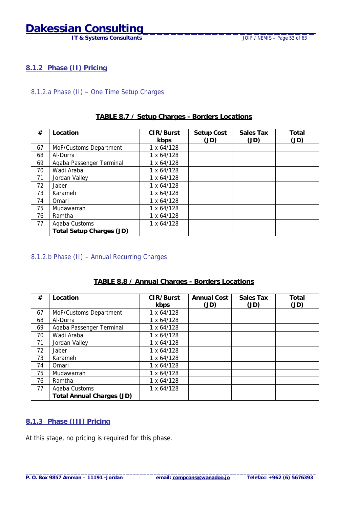## <span id="page-52-0"></span>**Dakessian Consulting**

#### **8.1.2 Phase (II) Pricing**

#### 8.1.2.a Phase (II) – One Time Setup Charges

#### **TABLE 8.7 / Setup Charges - Borders Locations**

| #  | Location                        | CIR/Burst  | Setup Cost | <b>Sales Tax</b> | <b>Total</b> |
|----|---------------------------------|------------|------------|------------------|--------------|
|    |                                 | kbps       | (JD)       | (JD)             | (JD)         |
| 67 | MoF/Customs Department          | 1 x 64/128 |            |                  |              |
| 68 | Al-Durra                        | 1 x 64/128 |            |                  |              |
| 69 | Agaba Passenger Terminal        | 1 x 64/128 |            |                  |              |
| 70 | Wadi Araba                      | 1 x 64/128 |            |                  |              |
| 71 | Jordan Valley                   | 1 x 64/128 |            |                  |              |
| 72 | Jaber                           | 1 x 64/128 |            |                  |              |
| 73 | Karameh                         | 1 x 64/128 |            |                  |              |
| 74 | Omari                           | 1 x 64/128 |            |                  |              |
| 75 | Mudawarrah                      | 1 x 64/128 |            |                  |              |
| 76 | Ramtha                          | 1 x 64/128 |            |                  |              |
| 77 | Agaba Customs                   | 1 x 64/128 |            |                  |              |
|    | <b>Total Setup Charges (JD)</b> |            |            |                  |              |

#### 8.1.2.b Phase (II) – Annual Recurring Charges

#### **TABLE 8.8 / Annual Charges - Borders Locations**

| #  | Location                         | CIR/Burst  | <b>Annual Cost</b> | Sales Tax | <b>Total</b> |
|----|----------------------------------|------------|--------------------|-----------|--------------|
|    |                                  | kbps       | (JD)               | (JD)      | (JD)         |
| 67 | MoF/Customs Department           | 1 x 64/128 |                    |           |              |
| 68 | Al-Durra                         | 1 x 64/128 |                    |           |              |
| 69 | Agaba Passenger Terminal         | 1 x 64/128 |                    |           |              |
| 70 | Wadi Araba                       | 1 x 64/128 |                    |           |              |
| 71 | Jordan Valley                    | 1 x 64/128 |                    |           |              |
| 72 | Jaber                            | 1 x 64/128 |                    |           |              |
| 73 | Karameh                          | 1 x 64/128 |                    |           |              |
| 74 | Omari                            | 1 x 64/128 |                    |           |              |
| 75 | Mudawarrah                       | 1 x 64/128 |                    |           |              |
| 76 | Ramtha                           | 1 x 64/128 |                    |           |              |
| 77 | Agaba Customs                    | 1 x 64/128 |                    |           |              |
|    | <b>Total Annual Charges (JD)</b> |            |                    |           |              |

#### **8.1.3 Phase (III) Pricing**

At this stage, no pricing is required for this phase.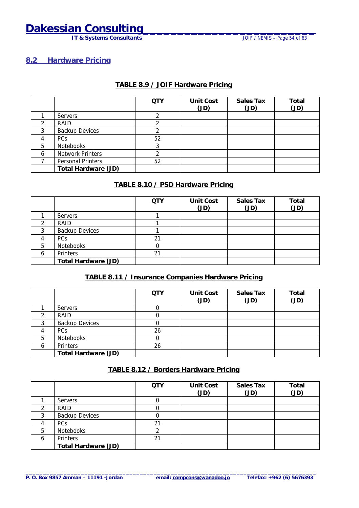## <span id="page-53-0"></span>**Dakessian Consulting**<br>IT & Systems Consultants JOIF / NEMIS - Page 54 of 63

**IT & Systems Consultants** 

#### **8.2 Hardware Pricing**

#### **TABLE 8.9 / JOIF Hardware Pricing**

|   |                            | <b>QTY</b> | <b>Unit Cost</b><br>(JD) | <b>Sales Tax</b><br>(JD) | Total<br>(JD) |
|---|----------------------------|------------|--------------------------|--------------------------|---------------|
|   | <b>Servers</b>             |            |                          |                          |               |
|   | RAID                       |            |                          |                          |               |
| ာ | <b>Backup Devices</b>      |            |                          |                          |               |
|   | PCs                        | 52         |                          |                          |               |
| 5 | Notebooks                  | ົ          |                          |                          |               |
| 6 | <b>Network Printers</b>    |            |                          |                          |               |
|   | Personal Printers          | 52         |                          |                          |               |
|   | <b>Total Hardware (JD)</b> |            |                          |                          |               |

#### **TABLE 8.10 / PSD Hardware Pricing**

|   |                            | <b>QTY</b> | <b>Unit Cost</b><br>(JD) | <b>Sales Tax</b><br>(JD) | Total<br>(JD) |
|---|----------------------------|------------|--------------------------|--------------------------|---------------|
|   | Servers                    |            |                          |                          |               |
|   | RAID                       |            |                          |                          |               |
|   | <b>Backup Devices</b>      |            |                          |                          |               |
|   | <b>PCs</b>                 | 21         |                          |                          |               |
| 5 | Notebooks                  |            |                          |                          |               |
| 6 | Printers                   | 21         |                          |                          |               |
|   | <b>Total Hardware (JD)</b> |            |                          |                          |               |

#### **TABLE 8.11 / Insurance Companies Hardware Pricing**

|   |                            | <b>QTY</b> | <b>Unit Cost</b><br>(JD) | <b>Sales Tax</b><br>(JD) | Total<br>(JD) |
|---|----------------------------|------------|--------------------------|--------------------------|---------------|
|   | <b>Servers</b>             |            |                          |                          |               |
|   | RAID                       |            |                          |                          |               |
|   | <b>Backup Devices</b>      |            |                          |                          |               |
|   | <b>PCs</b>                 | 26         |                          |                          |               |
| 5 | Notebooks                  |            |                          |                          |               |
| 6 | Printers                   | 26         |                          |                          |               |
|   | <b>Total Hardware (JD)</b> |            |                          |                          |               |

#### **TABLE 8.12 / Borders Hardware Pricing**

|   |                            | <b>QTY</b>    | <b>Unit Cost</b><br>(JD) | <b>Sales Tax</b><br>(JD) | Total<br>(JD) |
|---|----------------------------|---------------|--------------------------|--------------------------|---------------|
|   | <b>Servers</b>             |               |                          |                          |               |
|   | RAID                       |               |                          |                          |               |
|   | <b>Backup Devices</b>      |               |                          |                          |               |
|   | PCs                        | $\mathcal{D}$ |                          |                          |               |
| 5 | Notebooks                  |               |                          |                          |               |
|   | Printers                   | $2^{\cdot}$   |                          |                          |               |
|   | <b>Total Hardware (JD)</b> |               |                          |                          |               |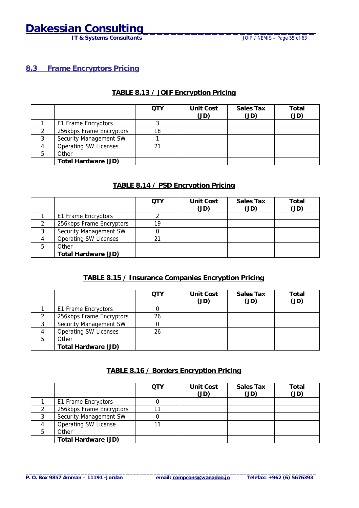## <span id="page-54-0"></span>**Dakessian Consulting**<br>IT & Systems Consultants JOIF / NEMIS - Page 55 of 63

**IT & Systems Consultants** 

#### **8.3 Frame Encryptors Pricing**

#### **TABLE 8.13 / JOIF Encryption Pricing**

|                              | OTY | Unit Cost<br>(JD) | Sales Tax<br>(JD) | Total<br>(JD) |
|------------------------------|-----|-------------------|-------------------|---------------|
| E1 Frame Encryptors          |     |                   |                   |               |
| 256kbps Frame Encryptors     | 18  |                   |                   |               |
| Security Management SW       |     |                   |                   |               |
| <b>Operating SW Licenses</b> | 21  |                   |                   |               |
| Other                        |     |                   |                   |               |
| <b>Total Hardware (JD)</b>   |     |                   |                   |               |

#### **TABLE 8.14 / PSD Encryption Pricing**

|   |                              | OTY | <b>Unit Cost</b><br>(JD) | <b>Sales Tax</b><br>(JD) | Total<br>(JD) |
|---|------------------------------|-----|--------------------------|--------------------------|---------------|
|   | E1 Frame Encryptors          |     |                          |                          |               |
|   | 256kbps Frame Encryptors     | 19  |                          |                          |               |
|   | Security Management SW       |     |                          |                          |               |
|   | <b>Operating SW Licenses</b> | 21  |                          |                          |               |
| 5 | Other                        |     |                          |                          |               |
|   | <b>Total Hardware (JD)</b>   |     |                          |                          |               |

#### **TABLE 8.15 / Insurance Companies Encryption Pricing**

|                              | OTY | <b>Unit Cost</b><br>(JD) | <b>Sales Tax</b><br>(JD) | Total<br>(JD) |
|------------------------------|-----|--------------------------|--------------------------|---------------|
| E1 Frame Encryptors          |     |                          |                          |               |
| 256kbps Frame Encryptors     | 26  |                          |                          |               |
| Security Management SW       |     |                          |                          |               |
| <b>Operating SW Licenses</b> | 26  |                          |                          |               |
| Other                        |     |                          |                          |               |
| <b>Total Hardware (JD)</b>   |     |                          |                          |               |

#### **TABLE 8.16 / Borders Encryption Pricing**

|                             | OTY | <b>Unit Cost</b><br>(JD) | <b>Sales Tax</b><br>(JD) | Total<br>(JD) |
|-----------------------------|-----|--------------------------|--------------------------|---------------|
| E1 Frame Encryptors         |     |                          |                          |               |
| 256kbps Frame Encryptors    |     |                          |                          |               |
| Security Management SW      |     |                          |                          |               |
| <b>Operating SW License</b> |     |                          |                          |               |
| Other                       |     |                          |                          |               |
| <b>Total Hardware (JD)</b>  |     |                          |                          |               |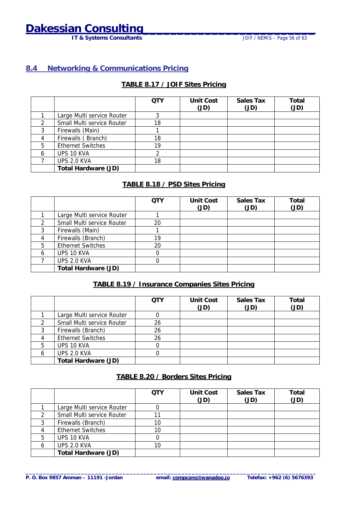## <span id="page-55-0"></span>**Dakessian Consulting**<br>IT & Systems Consultants JOIF / NEMIS - Page 56 of 63

**IT & Systems Consultants** 

#### **8.4 Networking & Communications Pricing**

#### **TABLE 8.17 / JOIF Sites Pricing**

|   |                            | <b>QTY</b> | <b>Unit Cost</b><br>(JD) | <b>Sales Tax</b><br>(JD) | Total<br>(JD) |
|---|----------------------------|------------|--------------------------|--------------------------|---------------|
|   | Large Multi service Router |            |                          |                          |               |
|   | Small Multi service Router | 18         |                          |                          |               |
|   | Firewalls (Main)           |            |                          |                          |               |
|   | Firewalls (Branch)         | 18         |                          |                          |               |
| 5 | <b>Ethernet Switches</b>   | 19         |                          |                          |               |
| 6 | UPS 10 KVA                 |            |                          |                          |               |
|   | UPS 2.0 KVA                | 18         |                          |                          |               |
|   | <b>Total Hardware (JD)</b> |            |                          |                          |               |

#### **TABLE 8.18 / PSD Sites Pricing**

|   |                            | <b>QTY</b> | <b>Unit Cost</b><br>(JD) | <b>Sales Tax</b><br>(JD) | Total<br>(JD) |
|---|----------------------------|------------|--------------------------|--------------------------|---------------|
|   | Large Multi service Router |            |                          |                          |               |
|   | Small Multi service Router | 20         |                          |                          |               |
|   | Firewalls (Main)           |            |                          |                          |               |
|   | Firewalls (Branch)         | 19         |                          |                          |               |
| 5 | <b>Ethernet Switches</b>   | 20         |                          |                          |               |
| 6 | UPS 10 KVA                 |            |                          |                          |               |
|   | UPS 2.0 KVA                |            |                          |                          |               |
|   | <b>Total Hardware (JD)</b> |            |                          |                          |               |

#### **TABLE 8.19 / Insurance Companies Sites Pricing**

|   |                            | <b>QTY</b> | <b>Unit Cost</b><br>(JD) | <b>Sales Tax</b><br>(JD) | Total<br>(JD) |
|---|----------------------------|------------|--------------------------|--------------------------|---------------|
|   | Large Multi service Router |            |                          |                          |               |
|   | Small Multi service Router | 26         |                          |                          |               |
|   | Firewalls (Branch)         | 26         |                          |                          |               |
|   | <b>Ethernet Switches</b>   | 26         |                          |                          |               |
|   | UPS 10 KVA                 |            |                          |                          |               |
| b | UPS 2.0 KVA                |            |                          |                          |               |
|   | <b>Total Hardware (JD)</b> |            |                          |                          |               |

#### **TABLE 8.20 / Borders Sites Pricing**

|   |                            | <b>QTY</b> | <b>Unit Cost</b><br>(JD) | <b>Sales Tax</b><br>(JD) | Total<br>(JD) |
|---|----------------------------|------------|--------------------------|--------------------------|---------------|
|   | Large Multi service Router |            |                          |                          |               |
| ◠ | Small Multi service Router |            |                          |                          |               |
| ົ | Firewalls (Branch)         | 10         |                          |                          |               |
|   | <b>Ethernet Switches</b>   | 10         |                          |                          |               |
| 5 | UPS 10 KVA                 |            |                          |                          |               |
|   | UPS 2.0 KVA                | 10         |                          |                          |               |
|   | <b>Total Hardware (JD)</b> |            |                          |                          |               |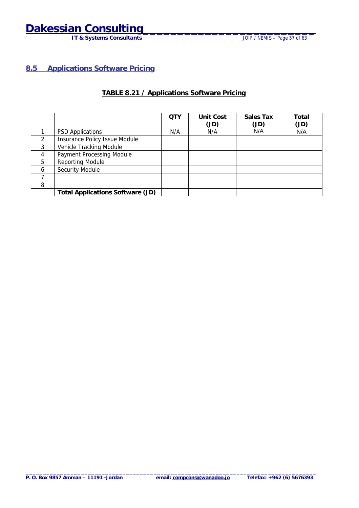## <span id="page-56-0"></span>**Dakessian Consulting\_\_\_\_\_\_\_\_\_\_\_\_\_\_\_\_\_\_\_\_\_\_\_\_\_**

**IT & Systems Consultants JOIF / NEMIS – Page 57 of 63** 

#### **8.5 Applications Software Pricing**

#### **TABLE 8.21 / Applications Software Pricing**

|   |                                         | <b>QTY</b> | <b>Unit Cost</b> | Sales Tax | Total |
|---|-----------------------------------------|------------|------------------|-----------|-------|
|   |                                         |            | (JD)             | (JD)      | (JD)  |
|   | <b>PSD Applications</b>                 | N/A        | N/A              | N/A       | N/A   |
| 2 | Insurance Policy Issue Module           |            |                  |           |       |
| 3 | Vehicle Tracking Module                 |            |                  |           |       |
| 4 | Payment Processing Module               |            |                  |           |       |
| 5 | <b>Reporting Module</b>                 |            |                  |           |       |
| 6 | Security Module                         |            |                  |           |       |
|   |                                         |            |                  |           |       |
| 8 |                                         |            |                  |           |       |
|   | <b>Total Applications Software (JD)</b> |            |                  |           |       |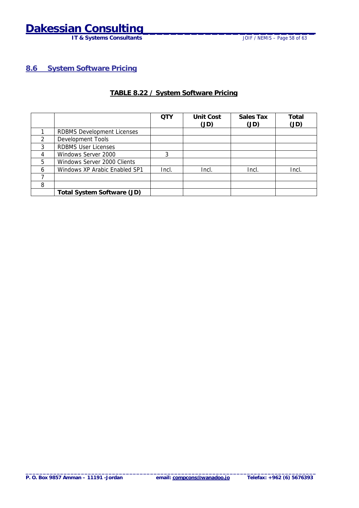## <span id="page-57-0"></span>**Dakessian Consulting\_\_\_\_\_\_\_\_\_\_\_\_\_\_\_\_\_\_\_\_\_\_\_\_\_**

**IT & Systems Consultants CONSULTABLE 10 CONSULTABLE 10 CONSULTABLE 10 CONSULTABLE 10 CONSULTABLE 10 CONSULTABLE 10 CONSULTABLE 10 CONSULTABLE 10 CONSULTABLE 10 CONSULTABLE 10 CONSULTABLE 10 CONSULTABLE 10 CONSULTABLE 10** 

**8.6 System Software Pricing**

#### **TABLE 8.22 / System Software Pricing**

|               |                                   | <b>QTY</b> | <b>Unit Cost</b> | Sales Tax | Total |
|---------------|-----------------------------------|------------|------------------|-----------|-------|
|               |                                   |            | (JD)             | (JD)      | (JD)  |
|               | <b>RDBMS Development Licenses</b> |            |                  |           |       |
| $\mathcal{P}$ | Development Tools                 |            |                  |           |       |
| 3             | <b>RDBMS User Licenses</b>        |            |                  |           |       |
| 4             | Windows Server 2000               | 3          |                  |           |       |
| 5             | Windows Server 2000 Clients       |            |                  |           |       |
| 6             | Windows XP Arabic Enabled SP1     | Incl.      | Incl.            | Incl.     | Incl. |
|               |                                   |            |                  |           |       |
| 8             |                                   |            |                  |           |       |
|               | <b>Total System Software (JD)</b> |            |                  |           |       |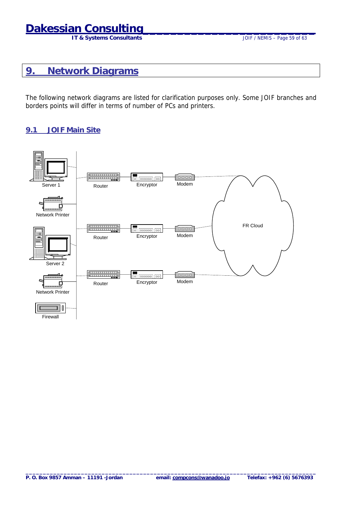## <span id="page-58-0"></span>**Dakessian Consulting**

### **9. Network Diagrams**

The following network diagrams are listed for clarification purposes only. Some JOIF branches and borders points will differ in terms of number of PCs and printers.

#### **9.1 JOIF Main Site**

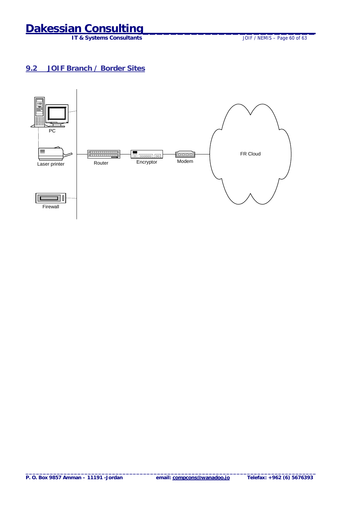**IT & Systems Consultants** 

### <span id="page-59-0"></span>**9.2 JOIF Branch / Border Sites**

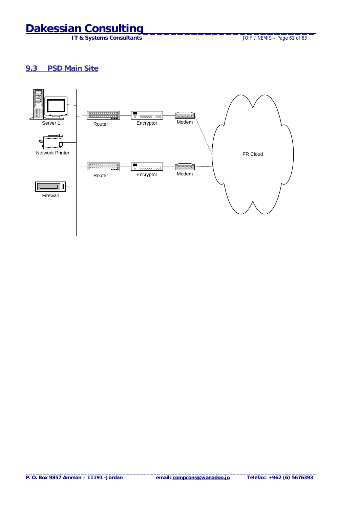**IT & Systems Consultants** 

#### <span id="page-60-0"></span>**9.3 PSD Main Site**

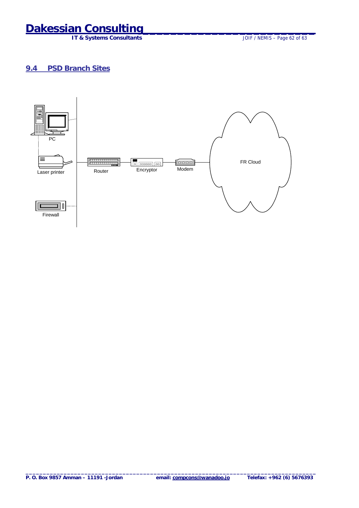**IT & Systems Consultants** 

#### <span id="page-61-0"></span>**9.4 PSD Branch Sites**